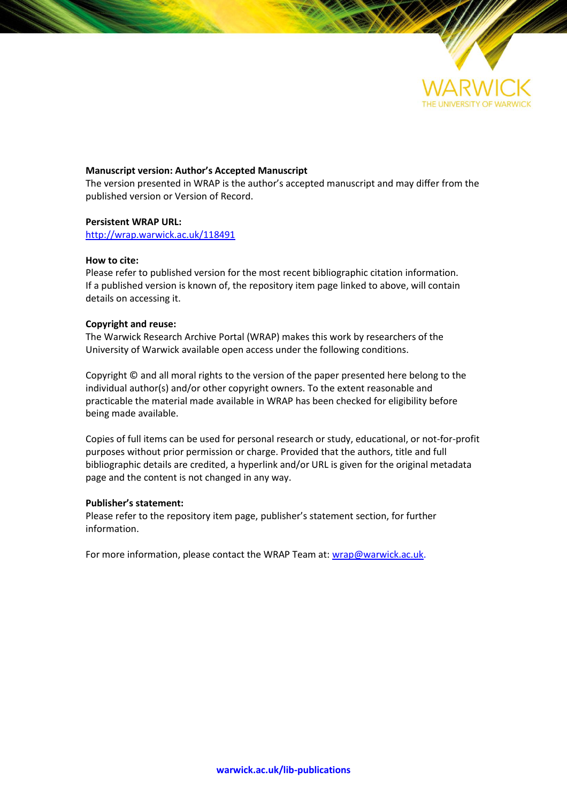

#### **Manuscript version: Author's Accepted Manuscript**

The version presented in WRAP is the author's accepted manuscript and may differ from the published version or Version of Record.

#### **Persistent WRAP URL:**

<http://wrap.warwick.ac.uk/118491>

#### **How to cite:**

Please refer to published version for the most recent bibliographic citation information. If a published version is known of, the repository item page linked to above, will contain details on accessing it.

#### **Copyright and reuse:**

The Warwick Research Archive Portal (WRAP) makes this work by researchers of the University of Warwick available open access under the following conditions.

Copyright © and all moral rights to the version of the paper presented here belong to the individual author(s) and/or other copyright owners. To the extent reasonable and practicable the material made available in WRAP has been checked for eligibility before being made available.

Copies of full items can be used for personal research or study, educational, or not-for-profit purposes without prior permission or charge. Provided that the authors, title and full bibliographic details are credited, a hyperlink and/or URL is given for the original metadata page and the content is not changed in any way.

#### **Publisher's statement:**

Please refer to the repository item page, publisher's statement section, for further information.

For more information, please contact the WRAP Team at[: wrap@warwick.ac.uk.](mailto:wrap@warwick.ac.uk)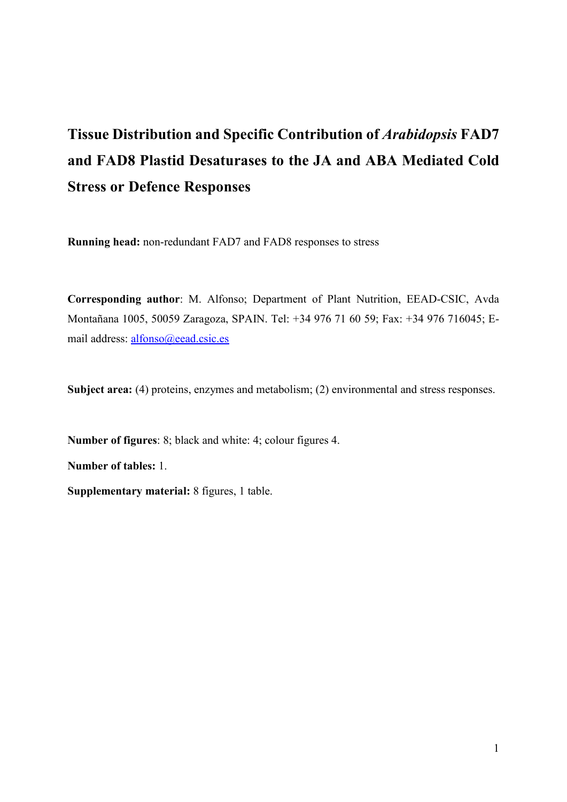# **Tissue Distribution and Specific Contribution of** *Arabidopsis* **FAD7 and FAD8 Plastid Desaturases to the JA and ABA Mediated Cold Stress or Defence Responses**

**Running head:** non-redundant FAD7 and FAD8 responses to stress

**Corresponding author**: M. Alfonso; Department of Plant Nutrition, EEAD-CSIC, Avda Montañana 1005, 50059 Zaragoza, SPAIN. Tel: +34 976 71 60 59; Fax: +34 976 716045; Email address: [alfonso@eead.csic.es](mailto:alfonso@eead.csic.es)

**Subject area:** (4) proteins, enzymes and metabolism; (2) environmental and stress responses.

**Number of figures**: 8; black and white: 4; colour figures 4. **Number of tables:** 1. **Supplementary material:** 8 figures, 1 table.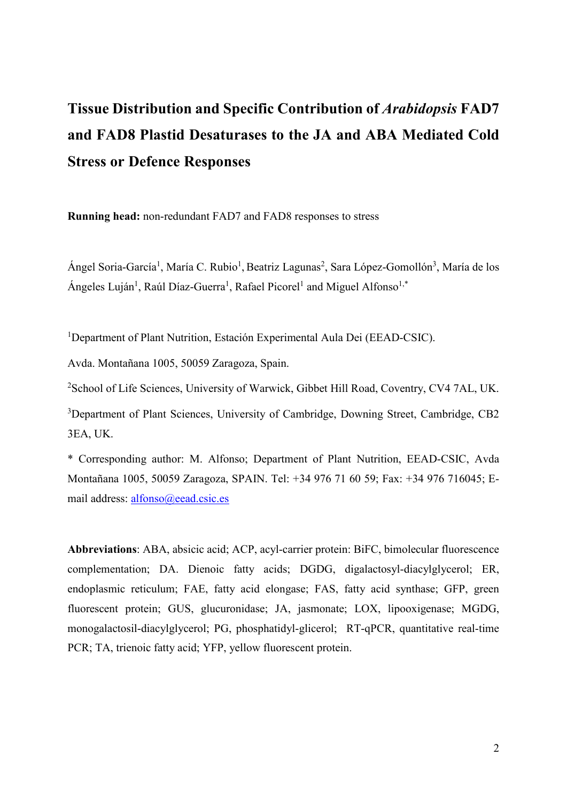# **Tissue Distribution and Specific Contribution of** *Arabidopsis* **FAD7 and FAD8 Plastid Desaturases to the JA and ABA Mediated Cold Stress or Defence Responses**

**Running head:** non-redundant FAD7 and FAD8 responses to stress

Ángel Soria-García<sup>1</sup>, María C. Rubio<sup>1</sup>, Beatriz Lagunas<sup>2</sup>, Sara López-Gomollón<sup>3</sup>, María de los Ángeles Luján<sup>1</sup>, Raúl Díaz-Guerra<sup>1</sup>, Rafael Picorel<sup>1</sup> and Miguel Alfonso<sup>1,\*</sup>

<sup>1</sup>Department of Plant Nutrition, Estación Experimental Aula Dei (EEAD-CSIC).

Avda. Montañana 1005, 50059 Zaragoza, Spain.

<sup>2</sup>School of Life Sciences, University of Warwick, Gibbet Hill Road, Coventry, CV4 7AL, UK.

<sup>3</sup>Department of Plant Sciences, University of Cambridge, Downing Street, Cambridge, CB2 3EA, UK.

\* Corresponding author: M. Alfonso; Department of Plant Nutrition, EEAD-CSIC, Avda Montañana 1005, 50059 Zaragoza, SPAIN. Tel: +34 976 71 60 59; Fax: +34 976 716045; Email address: [alfonso@eead.csic.es](mailto:alfonso@eead.csic.es)

**Abbreviations**: ABA, absicic acid; ACP, acyl-carrier protein: BiFC, bimolecular fluorescence complementation; DA. Dienoic fatty acids; DGDG, digalactosyl-diacylglycerol; ER, endoplasmic reticulum; FAE, fatty acid elongase; FAS, fatty acid synthase; GFP, green fluorescent protein; GUS, glucuronidase; JA, jasmonate; LOX, lipooxigenase; MGDG, monogalactosil-diacylglycerol; PG, phosphatidyl-glicerol; RT-qPCR, quantitative real-time PCR; TA, trienoic fatty acid; YFP, yellow fluorescent protein.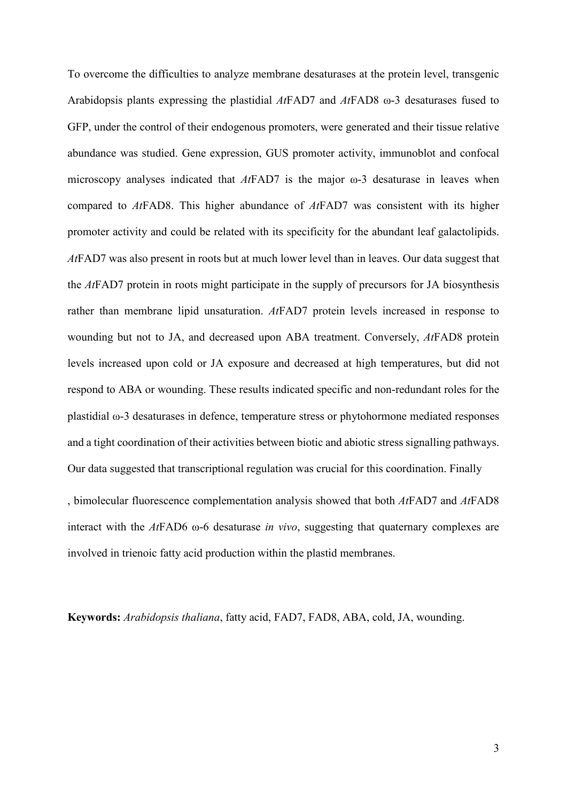To overcome the difficulties to analyze membrane desaturases at the protein level, transgenic Arabidopsis plants expressing the plastidial *At*FAD7 and *At*FAD8 ω-3 desaturases fused to GFP, under the control of their endogenous promoters, were generated and their tissue relative abundance was studied. Gene expression, GUS promoter activity, immunoblot and confocal microscopy analyses indicated that *At*FAD7 is the major ω-3 desaturase in leaves when compared to *At*FAD8. This higher abundance of *At*FAD7 was consistent with its higher promoter activity and could be related with its specificity for the abundant leaf galactolipids. *At*FAD7 was also present in roots but at much lower level than in leaves. Our data suggest that the *At*FAD7 protein in roots might participate in the supply of precursors for JA biosynthesis rather than membrane lipid unsaturation. *At*FAD7 protein levels increased in response to wounding but not to JA, and decreased upon ABA treatment. Conversely, *At*FAD8 protein levels increased upon cold or JA exposure and decreased at high temperatures, but did not respond to ABA or wounding. These results indicated specific and non-redundant roles for the plastidial ω-3 desaturases in defence, temperature stress or phytohormone mediated responses and a tight coordination of their activities between biotic and abiotic stress signalling pathways. Our data suggested that transcriptional regulation was crucial for this coordination. Finally

, bimolecular fluorescence complementation analysis showed that both *At*FAD7 and *At*FAD8 interact with the *At*FAD6 ω-6 desaturase *in vivo*, suggesting that quaternary complexes are involved in trienoic fatty acid production within the plastid membranes.

**Keywords:** *Arabidopsis thaliana*, fatty acid, FAD7, FAD8, ABA, cold, JA, wounding.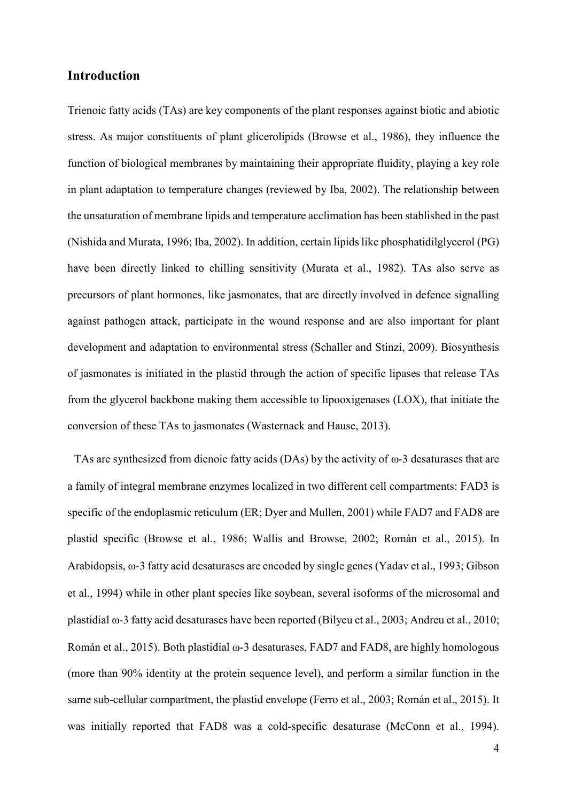## **Introduction**

Trienoic fatty acids (TAs) are key components of the plant responses against biotic and abiotic stress. As major constituents of plant glicerolipids (Browse et al., 1986), they influence the function of biological membranes by maintaining their appropriate fluidity, playing a key role in plant adaptation to temperature changes (reviewed by Iba, 2002). The relationship between the unsaturation of membrane lipids and temperature acclimation has been stablished in the past (Nishida and Murata, 1996; Iba, 2002). In addition, certain lipids like phosphatidilglycerol (PG) have been directly linked to chilling sensitivity (Murata et al., 1982). TAs also serve as precursors of plant hormones, like jasmonates, that are directly involved in defence signalling against pathogen attack, participate in the wound response and are also important for plant development and adaptation to environmental stress (Schaller and Stinzi, 2009). Biosynthesis of jasmonates is initiated in the plastid through the action of specific lipases that release TAs from the glycerol backbone making them accessible to lipooxigenases (LOX), that initiate the conversion of these TAs to jasmonates (Wasternack and Hause, 2013).

TAs are synthesized from dienoic fatty acids (DAs) by the activity of  $\omega$ -3 desaturases that are a family of integral membrane enzymes localized in two different cell compartments: FAD3 is specific of the endoplasmic reticulum (ER; Dyer and Mullen, 2001) while FAD7 and FAD8 are plastid specific (Browse et al., 1986; Wallis and Browse, 2002; Román et al., 2015). In Arabidopsis, ω-3 fatty acid desaturases are encoded by single genes (Yadav et al., 1993; Gibson et al., 1994) while in other plant species like soybean, several isoforms of the microsomal and plastidial ω-3 fatty acid desaturases have been reported (Bilyeu et al., 2003; Andreu et al., 2010; Román et al., 2015). Both plastidial ω-3 desaturases, FAD7 and FAD8, are highly homologous (more than 90% identity at the protein sequence level), and perform a similar function in the same sub-cellular compartment, the plastid envelope (Ferro et al., 2003; Román et al., 2015). It was initially reported that FAD8 was a cold-specific desaturase (McConn et al., 1994).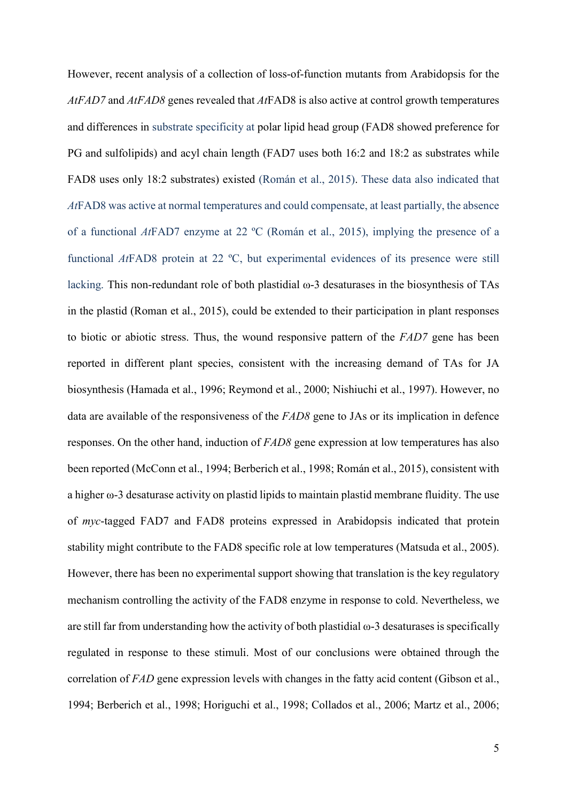However, recent analysis of a collection of loss-of-function mutants from Arabidopsis for the *AtFAD7* and *AtFAD8* genes revealed that *At*FAD8 is also active at control growth temperatures and differences in substrate specificity at polar lipid head group (FAD8 showed preference for PG and sulfolipids) and acyl chain length (FAD7 uses both 16:2 and 18:2 as substrates while FAD8 uses only 18:2 substrates) existed (Román et al., 2015). These data also indicated that *At*FAD8 was active at normal temperatures and could compensate, at least partially, the absence of a functional *At*FAD7 enzyme at 22 ºC (Román et al., 2015), implying the presence of a functional *At*FAD8 protein at 22 ºC, but experimental evidences of its presence were still lacking. This non-redundant role of both plastidial ω-3 desaturases in the biosynthesis of TAs in the plastid (Roman et al., 2015), could be extended to their participation in plant responses to biotic or abiotic stress. Thus, the wound responsive pattern of the *FAD7* gene has been reported in different plant species, consistent with the increasing demand of TAs for JA biosynthesis (Hamada et al., 1996; Reymond et al., 2000; Nishiuchi et al., 1997). However, no data are available of the responsiveness of the *FAD8* gene to JAs or its implication in defence responses. On the other hand, induction of *FAD8* gene expression at low temperatures has also been reported (McConn et al., 1994; Berberich et al., 1998; Román et al., 2015), consistent with a higher ω-3 desaturase activity on plastid lipids to maintain plastid membrane fluidity. The use of *myc*-tagged FAD7 and FAD8 proteins expressed in Arabidopsis indicated that protein stability might contribute to the FAD8 specific role at low temperatures (Matsuda et al., 2005). However, there has been no experimental support showing that translation is the key regulatory mechanism controlling the activity of the FAD8 enzyme in response to cold. Nevertheless, we are still far from understanding how the activity of both plastidial ω-3 desaturases is specifically regulated in response to these stimuli. Most of our conclusions were obtained through the correlation of *FAD* gene expression levels with changes in the fatty acid content (Gibson et al., 1994; Berberich et al., 1998; Horiguchi et al., 1998; Collados et al., 2006; Martz et al., 2006;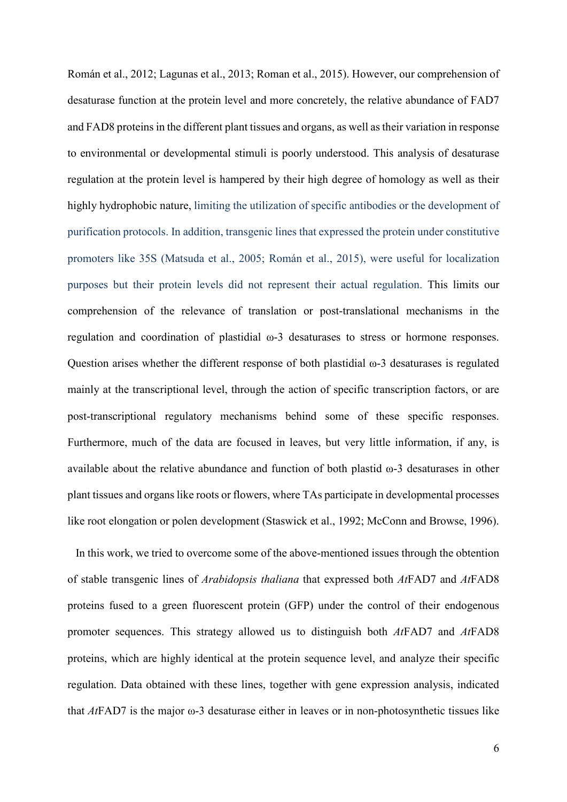Román et al., 2012; Lagunas et al., 2013; Roman et al., 2015). However, our comprehension of desaturase function at the protein level and more concretely, the relative abundance of FAD7 and FAD8 proteins in the different plant tissues and organs, as well as their variation in response to environmental or developmental stimuli is poorly understood. This analysis of desaturase regulation at the protein level is hampered by their high degree of homology as well as their highly hydrophobic nature, limiting the utilization of specific antibodies or the development of purification protocols. In addition, transgenic lines that expressed the protein under constitutive promoters like 35S (Matsuda et al., 2005; Román et al., 2015), were useful for localization purposes but their protein levels did not represent their actual regulation. This limits our comprehension of the relevance of translation or post-translational mechanisms in the regulation and coordination of plastidial ω-3 desaturases to stress or hormone responses. Question arises whether the different response of both plastidial ω-3 desaturases is regulated mainly at the transcriptional level, through the action of specific transcription factors, or are post-transcriptional regulatory mechanisms behind some of these specific responses. Furthermore, much of the data are focused in leaves, but very little information, if any, is available about the relative abundance and function of both plastid ω-3 desaturases in other plant tissues and organs like roots or flowers, where TAs participate in developmental processes like root elongation or polen development (Staswick et al., 1992; McConn and Browse, 1996).

In this work, we tried to overcome some of the above-mentioned issues through the obtention of stable transgenic lines of *Arabidopsis thaliana* that expressed both *At*FAD7 and *At*FAD8 proteins fused to a green fluorescent protein (GFP) under the control of their endogenous promoter sequences. This strategy allowed us to distinguish both *At*FAD7 and *At*FAD8 proteins, which are highly identical at the protein sequence level, and analyze their specific regulation. Data obtained with these lines, together with gene expression analysis, indicated that *At*FAD7 is the major ω-3 desaturase either in leaves or in non-photosynthetic tissues like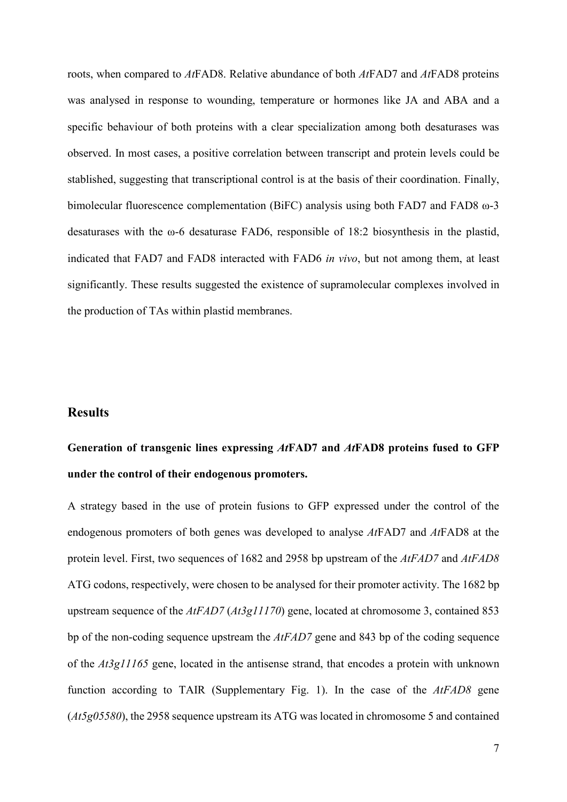roots, when compared to *At*FAD8. Relative abundance of both *At*FAD7 and *At*FAD8 proteins was analysed in response to wounding, temperature or hormones like JA and ABA and a specific behaviour of both proteins with a clear specialization among both desaturases was observed. In most cases, a positive correlation between transcript and protein levels could be stablished, suggesting that transcriptional control is at the basis of their coordination. Finally, bimolecular fluorescence complementation (BiFC) analysis using both FAD7 and FAD8 ω-3 desaturases with the ω-6 desaturase FAD6, responsible of 18:2 biosynthesis in the plastid, indicated that FAD7 and FAD8 interacted with FAD6 *in vivo*, but not among them, at least significantly. These results suggested the existence of supramolecular complexes involved in the production of TAs within plastid membranes.

## **Results**

## **Generation of transgenic lines expressing** *At***FAD7 and** *At***FAD8 proteins fused to GFP under the control of their endogenous promoters.**

A strategy based in the use of protein fusions to GFP expressed under the control of the endogenous promoters of both genes was developed to analyse *At*FAD7 and *At*FAD8 at the protein level. First, two sequences of 1682 and 2958 bp upstream of the *AtFAD7* and *AtFAD8* ATG codons, respectively, were chosen to be analysed for their promoter activity. The 1682 bp upstream sequence of the *AtFAD7* (*At3g11170*) gene, located at chromosome 3, contained 853 bp of the non-coding sequence upstream the *AtFAD7* gene and 843 bp of the coding sequence of the *At3g11165* gene, located in the antisense strand, that encodes a protein with unknown function according to TAIR (Supplementary Fig. 1). In the case of the *AtFAD8* gene (*At5g05580*), the 2958 sequence upstream its ATG was located in chromosome 5 and contained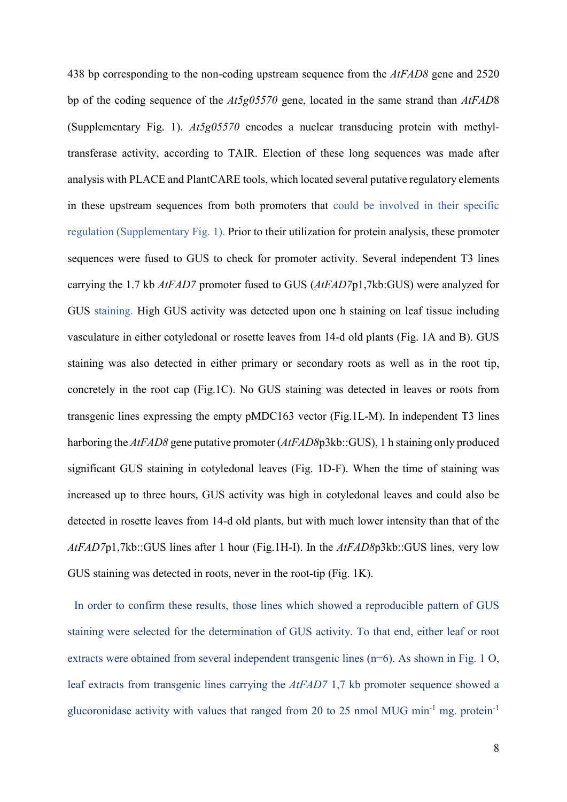438 bp corresponding to the non-coding upstream sequence from the *AtFAD8* gene and 2520 bp of the coding sequence of the *At5g05570* gene, located in the same strand than *AtFAD*8 (Supplementary Fig. 1). *At5g05570* encodes a nuclear transducing protein with methyltransferase activity, according to TAIR. Election of these long sequences was made after analysis with PLACE and PlantCARE tools, which located several putative regulatory elements in these upstream sequences from both promoters that could be involved in their specific regulation (Supplementary Fig. 1). Prior to their utilization for protein analysis, these promoter sequences were fused to GUS to check for promoter activity. Several independent T3 lines carrying the 1.7 kb *AtFAD7* promoter fused to GUS (*AtFAD7*p1,7kb:GUS) were analyzed for GUS staining. High GUS activity was detected upon one h staining on leaf tissue including vasculature in either cotyledonal or rosette leaves from 14-d old plants (Fig. 1A and B). GUS staining was also detected in either primary or secondary roots as well as in the root tip, concretely in the root cap (Fig.1C). No GUS staining was detected in leaves or roots from transgenic lines expressing the empty pMDC163 vector (Fig.1L-M). In independent T3 lines harboring the *AtFAD8* gene putative promoter (*AtFAD8*p3kb::GUS), 1 h staining only produced significant GUS staining in cotyledonal leaves (Fig. 1D-F). When the time of staining was increased up to three hours, GUS activity was high in cotyledonal leaves and could also be detected in rosette leaves from 14-d old plants, but with much lower intensity than that of the *AtFAD7*p1,7kb::GUS lines after 1 hour (Fig.1H-I). In the *AtFAD8*p3kb::GUS lines, very low GUS staining was detected in roots, never in the root-tip (Fig. 1K).

In order to confirm these results, those lines which showed a reproducible pattern of GUS staining were selected for the determination of GUS activity. To that end, either leaf or root extracts were obtained from several independent transgenic lines (n=6). As shown in Fig. 1 O, leaf extracts from transgenic lines carrying the *AtFAD7* 1,7 kb promoter sequence showed a glucoronidase activity with values that ranged from 20 to 25 nmol MUG min<sup>-1</sup> mg. protein<sup>-1</sup>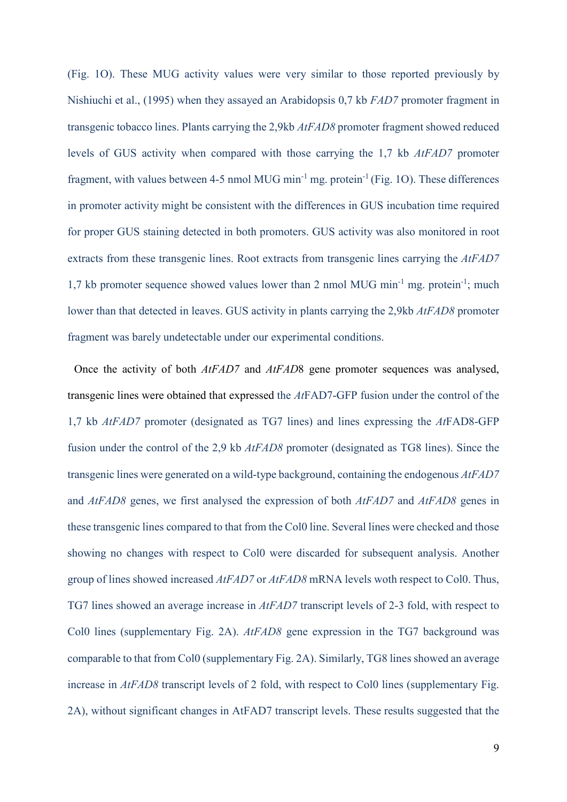(Fig. 1O). These MUG activity values were very similar to those reported previously by Nishiuchi et al., (1995) when they assayed an Arabidopsis 0,7 kb *FAD7* promoter fragment in transgenic tobacco lines. Plants carrying the 2,9kb *AtFAD8* promoter fragment showed reduced levels of GUS activity when compared with those carrying the 1,7 kb *AtFAD7* promoter fragment, with values between 4-5 nmol MUG min<sup>-1</sup> mg. protein<sup>-1</sup> (Fig. 1O). These differences in promoter activity might be consistent with the differences in GUS incubation time required for proper GUS staining detected in both promoters. GUS activity was also monitored in root extracts from these transgenic lines. Root extracts from transgenic lines carrying the *AtFAD7* 1,7 kb promoter sequence showed values lower than 2 nmol MUG min<sup>-1</sup> mg. protein<sup>-1</sup>; much lower than that detected in leaves. GUS activity in plants carrying the 2,9kb *AtFAD8* promoter fragment was barely undetectable under our experimental conditions.

Once the activity of both *AtFAD7* and *AtFAD*8 gene promoter sequences was analysed, transgenic lines were obtained that expressed the *At*FAD7-GFP fusion under the control of the 1,7 kb *AtFAD7* promoter (designated as TG7 lines) and lines expressing the *At*FAD8-GFP fusion under the control of the 2,9 kb *AtFAD8* promoter (designated as TG8 lines). Since the transgenic lines were generated on a wild-type background, containing the endogenous *AtFAD7* and *AtFAD8* genes, we first analysed the expression of both *AtFAD7* and *AtFAD8* genes in these transgenic lines compared to that from the Col0 line. Several lines were checked and those showing no changes with respect to Col0 were discarded for subsequent analysis. Another group of lines showed increased *AtFAD7* or *AtFAD8* mRNA levels woth respect to Col0. Thus, TG7 lines showed an average increase in *AtFAD7* transcript levels of 2-3 fold, with respect to Col0 lines (supplementary Fig. 2A). *AtFAD8* gene expression in the TG7 background was comparable to that from Col0 (supplementary Fig. 2A). Similarly, TG8 lines showed an average increase in *AtFAD8* transcript levels of 2 fold, with respect to Col0 lines (supplementary Fig. 2A), without significant changes in AtFAD7 transcript levels. These results suggested that the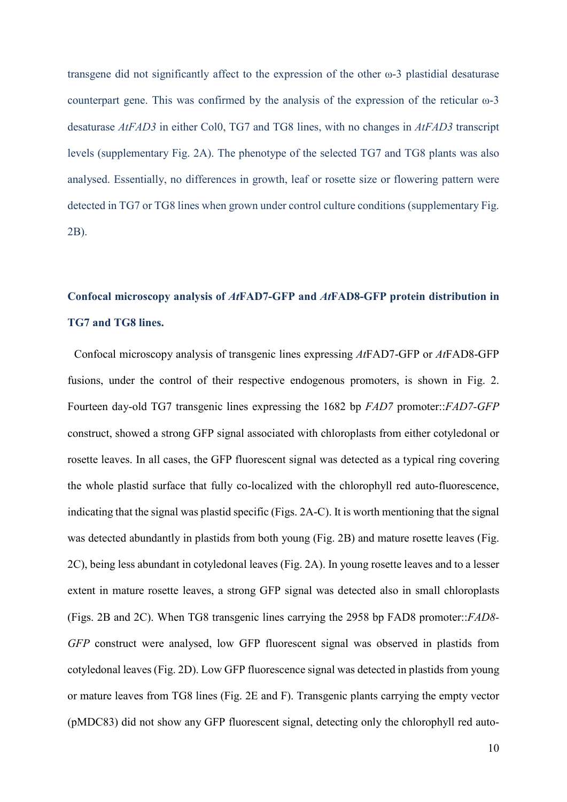transgene did not significantly affect to the expression of the other ω-3 plastidial desaturase counterpart gene. This was confirmed by the analysis of the expression of the reticular ω-3 desaturase *AtFAD3* in either Col0, TG7 and TG8 lines, with no changes in *AtFAD3* transcript levels (supplementary Fig. 2A). The phenotype of the selected TG7 and TG8 plants was also analysed. Essentially, no differences in growth, leaf or rosette size or flowering pattern were detected in TG7 or TG8 lines when grown under control culture conditions (supplementary Fig. 2B).

## **Confocal microscopy analysis of** *At***FAD7-GFP and** *At***FAD8-GFP protein distribution in TG7 and TG8 lines.**

Confocal microscopy analysis of transgenic lines expressing *At*FAD7-GFP or *At*FAD8-GFP fusions, under the control of their respective endogenous promoters, is shown in Fig. 2. Fourteen day-old TG7 transgenic lines expressing the 1682 bp *FAD7* promoter::*FAD7-GFP* construct, showed a strong GFP signal associated with chloroplasts from either cotyledonal or rosette leaves. In all cases, the GFP fluorescent signal was detected as a typical ring covering the whole plastid surface that fully co-localized with the chlorophyll red auto-fluorescence, indicating that the signal was plastid specific (Figs. 2A-C). It is worth mentioning that the signal was detected abundantly in plastids from both young (Fig. 2B) and mature rosette leaves (Fig. 2C), being less abundant in cotyledonal leaves (Fig. 2A). In young rosette leaves and to a lesser extent in mature rosette leaves, a strong GFP signal was detected also in small chloroplasts (Figs. 2B and 2C). When TG8 transgenic lines carrying the 2958 bp FAD8 promoter::*FAD8- GFP* construct were analysed, low GFP fluorescent signal was observed in plastids from cotyledonal leaves (Fig. 2D). Low GFP fluorescence signal was detected in plastids from young or mature leaves from TG8 lines (Fig. 2E and F). Transgenic plants carrying the empty vector (pMDC83) did not show any GFP fluorescent signal, detecting only the chlorophyll red auto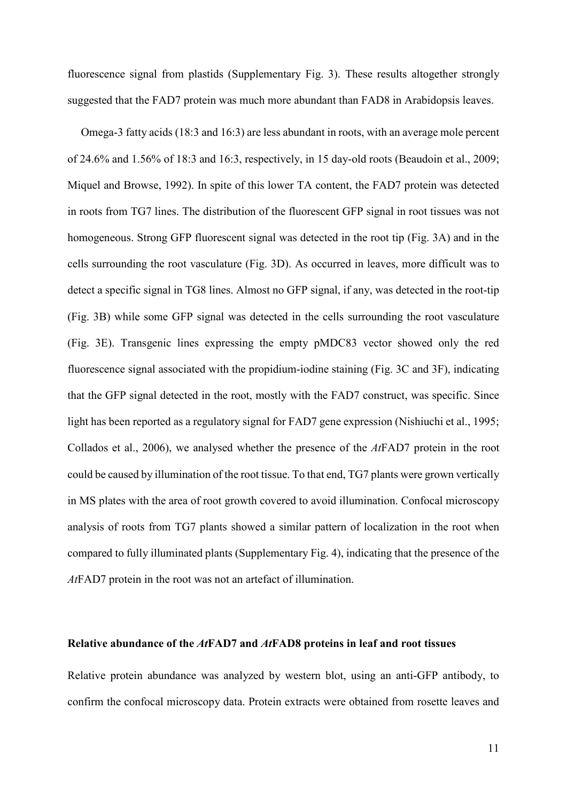fluorescence signal from plastids (Supplementary Fig. 3). These results altogether strongly suggested that the FAD7 protein was much more abundant than FAD8 in Arabidopsis leaves.

Omega-3 fatty acids (18:3 and 16:3) are less abundant in roots, with an average mole percent of 24.6% and 1.56% of 18:3 and 16:3, respectively, in 15 day-old roots (Beaudoin et al., 2009; Miquel and Browse, 1992). In spite of this lower TA content, the FAD7 protein was detected in roots from TG7 lines. The distribution of the fluorescent GFP signal in root tissues was not homogeneous. Strong GFP fluorescent signal was detected in the root tip (Fig. 3A) and in the cells surrounding the root vasculature (Fig. 3D). As occurred in leaves, more difficult was to detect a specific signal in TG8 lines. Almost no GFP signal, if any, was detected in the root-tip (Fig. 3B) while some GFP signal was detected in the cells surrounding the root vasculature (Fig. 3E). Transgenic lines expressing the empty pMDC83 vector showed only the red fluorescence signal associated with the propidium-iodine staining (Fig. 3C and 3F), indicating that the GFP signal detected in the root, mostly with the FAD7 construct, was specific. Since light has been reported as a regulatory signal for FAD7 gene expression (Nishiuchi et al., 1995; Collados et al., 2006), we analysed whether the presence of the *At*FAD7 protein in the root could be caused by illumination of the root tissue. To that end, TG7 plants were grown vertically in MS plates with the area of root growth covered to avoid illumination. Confocal microscopy analysis of roots from TG7 plants showed a similar pattern of localization in the root when compared to fully illuminated plants (Supplementary Fig. 4), indicating that the presence of the *At*FAD7 protein in the root was not an artefact of illumination.

## **Relative abundance of the** *At***FAD7 and** *At***FAD8 proteins in leaf and root tissues**

Relative protein abundance was analyzed by western blot, using an anti-GFP antibody, to confirm the confocal microscopy data. Protein extracts were obtained from rosette leaves and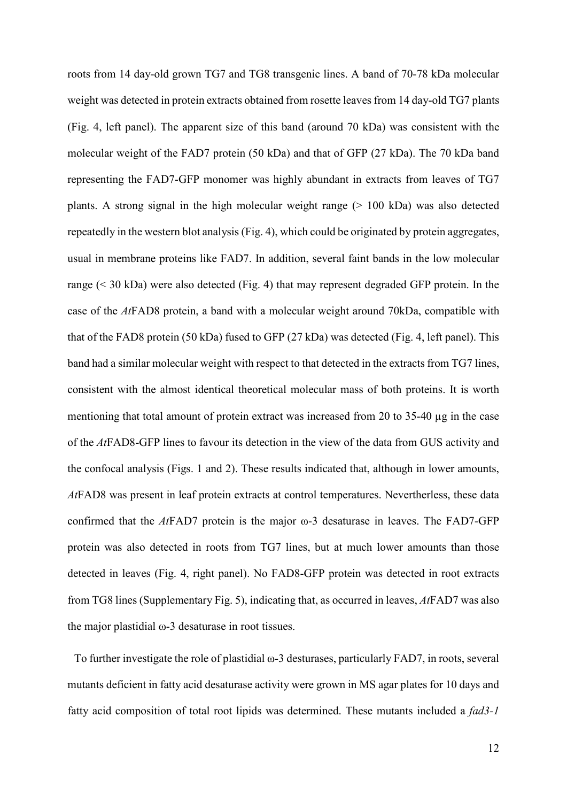roots from 14 day-old grown TG7 and TG8 transgenic lines. A band of 70-78 kDa molecular weight was detected in protein extracts obtained from rosette leaves from 14 day-old TG7 plants (Fig. 4, left panel). The apparent size of this band (around 70 kDa) was consistent with the molecular weight of the FAD7 protein (50 kDa) and that of GFP (27 kDa). The 70 kDa band representing the FAD7-GFP monomer was highly abundant in extracts from leaves of TG7 plants. A strong signal in the high molecular weight range  $(> 100 \text{ kDa})$  was also detected repeatedly in the western blot analysis (Fig. 4), which could be originated by protein aggregates, usual in membrane proteins like FAD7. In addition, several faint bands in the low molecular range (< 30 kDa) were also detected (Fig. 4) that may represent degraded GFP protein. In the case of the *At*FAD8 protein, a band with a molecular weight around 70kDa, compatible with that of the FAD8 protein (50 kDa) fused to GFP (27 kDa) was detected (Fig. 4, left panel). This band had a similar molecular weight with respect to that detected in the extracts from TG7 lines, consistent with the almost identical theoretical molecular mass of both proteins. It is worth mentioning that total amount of protein extract was increased from 20 to 35-40 µg in the case of the *At*FAD8-GFP lines to favour its detection in the view of the data from GUS activity and the confocal analysis (Figs. 1 and 2). These results indicated that, although in lower amounts, *At*FAD8 was present in leaf protein extracts at control temperatures. Nevertherless, these data confirmed that the *At*FAD7 protein is the major ω-3 desaturase in leaves. The FAD7-GFP protein was also detected in roots from TG7 lines, but at much lower amounts than those detected in leaves (Fig. 4, right panel). No FAD8-GFP protein was detected in root extracts from TG8 lines (Supplementary Fig. 5), indicating that, as occurred in leaves, *At*FAD7 was also the major plastidial ω-3 desaturase in root tissues.

To further investigate the role of plastidial ω-3 desturases, particularly FAD7, in roots, several mutants deficient in fatty acid desaturase activity were grown in MS agar plates for 10 days and fatty acid composition of total root lipids was determined. These mutants included a *fad3-1*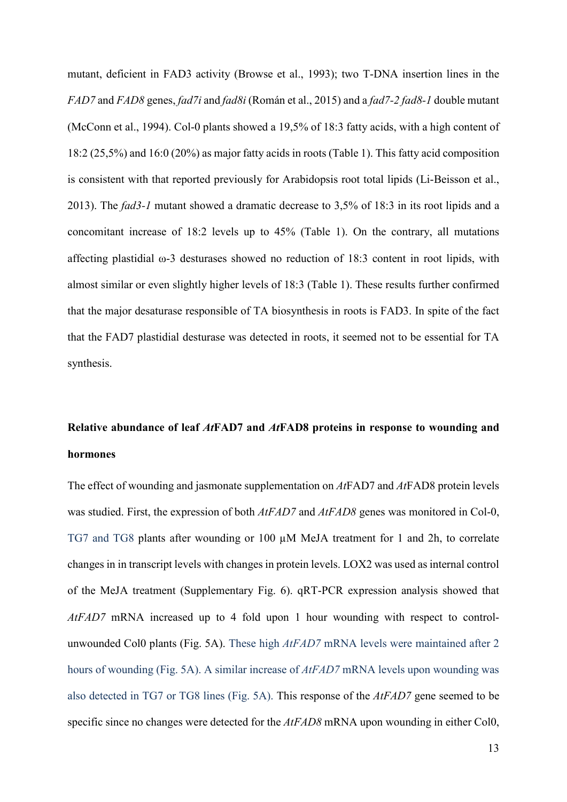mutant, deficient in FAD3 activity (Browse et al., 1993); two T-DNA insertion lines in the *FAD7* and *FAD8* genes, *fad7i* and *fad8i* (Román et al., 2015) and a *fad7-2 fad8-1* double mutant (McConn et al., 1994). Col-0 plants showed a 19,5% of 18:3 fatty acids, with a high content of 18:2 (25,5%) and 16:0 (20%) as major fatty acids in roots (Table 1). This fatty acid composition is consistent with that reported previously for Arabidopsis root total lipids (Li-Beisson et al., 2013). The *fad3-1* mutant showed a dramatic decrease to 3,5% of 18:3 in its root lipids and a concomitant increase of 18:2 levels up to 45% (Table 1). On the contrary, all mutations affecting plastidial ω-3 desturases showed no reduction of 18:3 content in root lipids, with almost similar or even slightly higher levels of 18:3 (Table 1). These results further confirmed that the major desaturase responsible of TA biosynthesis in roots is FAD3. In spite of the fact that the FAD7 plastidial desturase was detected in roots, it seemed not to be essential for TA synthesis.

## **Relative abundance of leaf** *At***FAD7 and** *At***FAD8 proteins in response to wounding and hormones**

The effect of wounding and jasmonate supplementation on *At*FAD7 and *At*FAD8 protein levels was studied. First, the expression of both *AtFAD7* and *AtFAD8* genes was monitored in Col-0, TG7 and TG8 plants after wounding or 100 µM MeJA treatment for 1 and 2h, to correlate changes in in transcript levels with changes in protein levels. LOX2 was used as internal control of the MeJA treatment (Supplementary Fig. 6). qRT-PCR expression analysis showed that *AtFAD7* mRNA increased up to 4 fold upon 1 hour wounding with respect to controlunwounded Col0 plants (Fig. 5A). These high *AtFAD7* mRNA levels were maintained after 2 hours of wounding (Fig. 5A). A similar increase of *AtFAD7* mRNA levels upon wounding was also detected in TG7 or TG8 lines (Fig. 5A). This response of the *AtFAD7* gene seemed to be specific since no changes were detected for the *AtFAD8* mRNA upon wounding in either Col0,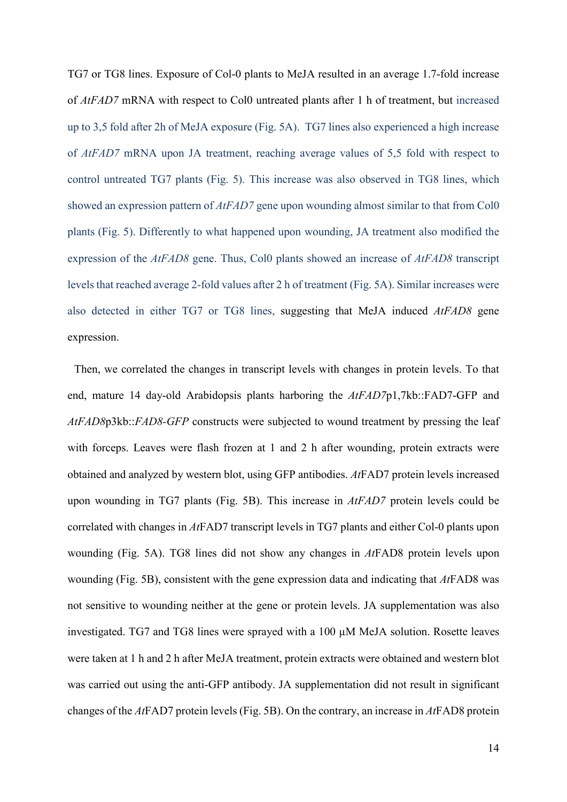TG7 or TG8 lines. Exposure of Col-0 plants to MeJA resulted in an average 1.7-fold increase of *AtFAD7* mRNA with respect to Col0 untreated plants after 1 h of treatment, but increased up to 3,5 fold after 2h of MeJA exposure (Fig. 5A). TG7 lines also experienced a high increase of *AtFAD7* mRNA upon JA treatment, reaching average values of 5,5 fold with respect to control untreated TG7 plants (Fig. 5). This increase was also observed in TG8 lines, which showed an expression pattern of *AtFAD7* gene upon wounding almost similar to that from Col0 plants (Fig. 5). Differently to what happened upon wounding, JA treatment also modified the expression of the *AtFAD8* gene. Thus, Col0 plants showed an increase of *AtFAD8* transcript levels that reached average 2-fold values after 2 h of treatment (Fig. 5A). Similar increases were also detected in either TG7 or TG8 lines, suggesting that MeJA induced *AtFAD8* gene expression.

Then, we correlated the changes in transcript levels with changes in protein levels. To that end, mature 14 day-old Arabidopsis plants harboring the *AtFAD7*p1,7kb::FAD7-GFP and *AtFAD8*p3kb::*FAD8-GFP* constructs were subjected to wound treatment by pressing the leaf with forceps. Leaves were flash frozen at 1 and 2 h after wounding, protein extracts were obtained and analyzed by western blot, using GFP antibodies. *At*FAD7 protein levels increased upon wounding in TG7 plants (Fig. 5B). This increase in *AtFAD7* protein levels could be correlated with changes in *At*FAD7 transcript levels in TG7 plants and either Col-0 plants upon wounding (Fig. 5A). TG8 lines did not show any changes in *At*FAD8 protein levels upon wounding (Fig. 5B), consistent with the gene expression data and indicating that *At*FAD8 was not sensitive to wounding neither at the gene or protein levels. JA supplementation was also investigated. TG7 and TG8 lines were sprayed with a 100 µM MeJA solution. Rosette leaves were taken at 1 h and 2 h after MeJA treatment, protein extracts were obtained and western blot was carried out using the anti-GFP antibody. JA supplementation did not result in significant changes of the *At*FAD7 protein levels (Fig. 5B). On the contrary, an increase in *At*FAD8 protein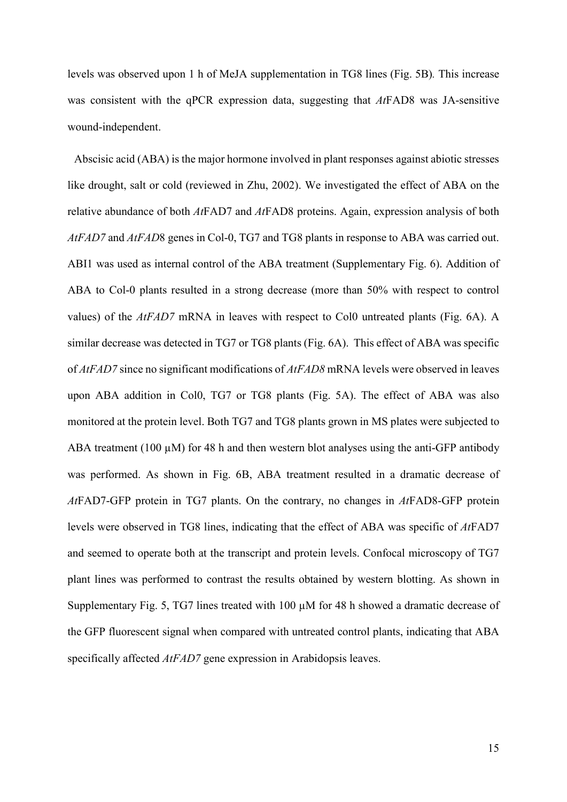levels was observed upon 1 h of MeJA supplementation in TG8 lines (Fig. 5B)*.* This increase was consistent with the qPCR expression data, suggesting that *At*FAD8 was JA-sensitive wound-independent.

Abscisic acid (ABA) is the major hormone involved in plant responses against abiotic stresses like drought, salt or cold (reviewed in Zhu, 2002). We investigated the effect of ABA on the relative abundance of both *At*FAD7 and *At*FAD8 proteins. Again, expression analysis of both *AtFAD7* and *AtFAD*8 genes in Col-0, TG7 and TG8 plants in response to ABA was carried out. ABI1 was used as internal control of the ABA treatment (Supplementary Fig. 6). Addition of ABA to Col-0 plants resulted in a strong decrease (more than 50% with respect to control values) of the *AtFAD7* mRNA in leaves with respect to Col0 untreated plants (Fig. 6A). A similar decrease was detected in TG7 or TG8 plants (Fig. 6A). This effect of ABA was specific of *AtFAD7* since no significant modifications of *AtFAD8* mRNA levels were observed in leaves upon ABA addition in Col0, TG7 or TG8 plants (Fig. 5A). The effect of ABA was also monitored at the protein level. Both TG7 and TG8 plants grown in MS plates were subjected to ABA treatment (100  $\mu$ M) for 48 h and then western blot analyses using the anti-GFP antibody was performed. As shown in Fig. 6B, ABA treatment resulted in a dramatic decrease of *At*FAD7-GFP protein in TG7 plants. On the contrary, no changes in *At*FAD8-GFP protein levels were observed in TG8 lines, indicating that the effect of ABA was specific of *At*FAD7 and seemed to operate both at the transcript and protein levels. Confocal microscopy of TG7 plant lines was performed to contrast the results obtained by western blotting. As shown in Supplementary Fig. 5, TG7 lines treated with 100 µM for 48 h showed a dramatic decrease of the GFP fluorescent signal when compared with untreated control plants, indicating that ABA specifically affected *AtFAD7* gene expression in Arabidopsis leaves.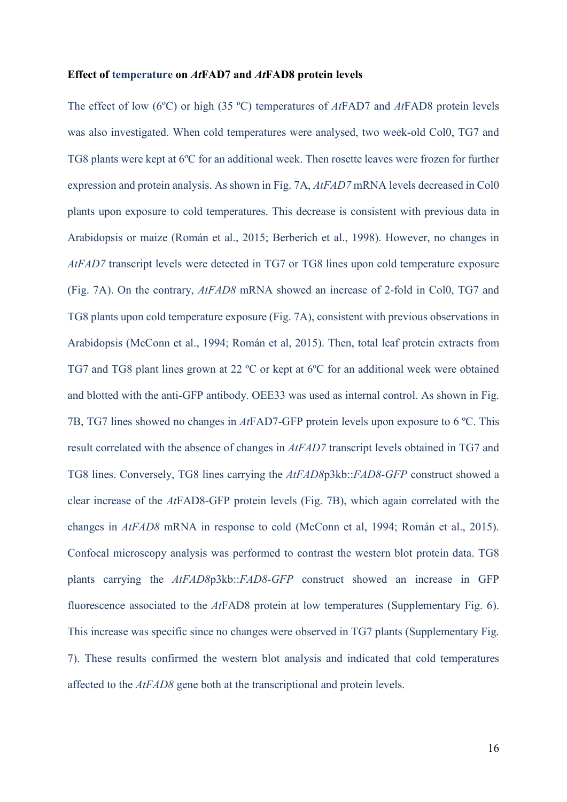### **Effect of temperature on** *At***FAD7 and** *At***FAD8 protein levels**

The effect of low (6ºC) or high (35 ºC) temperatures of *At*FAD7 and *At*FAD8 protein levels was also investigated. When cold temperatures were analysed, two week-old Col0, TG7 and TG8 plants were kept at 6ºC for an additional week. Then rosette leaves were frozen for further expression and protein analysis. As shown in Fig. 7A, *AtFAD7* mRNA levels decreased in Col0 plants upon exposure to cold temperatures. This decrease is consistent with previous data in Arabidopsis or maize (Román et al., 2015; Berberich et al., 1998). However, no changes in *AtFAD7* transcript levels were detected in TG7 or TG8 lines upon cold temperature exposure (Fig. 7A). On the contrary, *AtFAD8* mRNA showed an increase of 2-fold in Col0, TG7 and TG8 plants upon cold temperature exposure (Fig. 7A), consistent with previous observations in Arabidopsis (McConn et al., 1994; Román et al, 2015). Then, total leaf protein extracts from TG7 and TG8 plant lines grown at 22 ºC or kept at 6ºC for an additional week were obtained and blotted with the anti-GFP antibody. OEE33 was used as internal control. As shown in Fig. 7B, TG7 lines showed no changes in *At*FAD7-GFP protein levels upon exposure to 6 ºC. This result correlated with the absence of changes in *AtFAD7* transcript levels obtained in TG7 and TG8 lines. Conversely, TG8 lines carrying the *AtFAD8*p3kb::*FAD8-GFP* construct showed a clear increase of the *At*FAD8-GFP protein levels (Fig. 7B), which again correlated with the changes in *AtFAD8* mRNA in response to cold (McConn et al, 1994; Román et al., 2015). Confocal microscopy analysis was performed to contrast the western blot protein data. TG8 plants carrying the *AtFAD8*p3kb::*FAD8-GFP* construct showed an increase in GFP fluorescence associated to the *At*FAD8 protein at low temperatures (Supplementary Fig. 6). This increase was specific since no changes were observed in TG7 plants (Supplementary Fig. 7). These results confirmed the western blot analysis and indicated that cold temperatures affected to the *AtFAD8* gene both at the transcriptional and protein levels.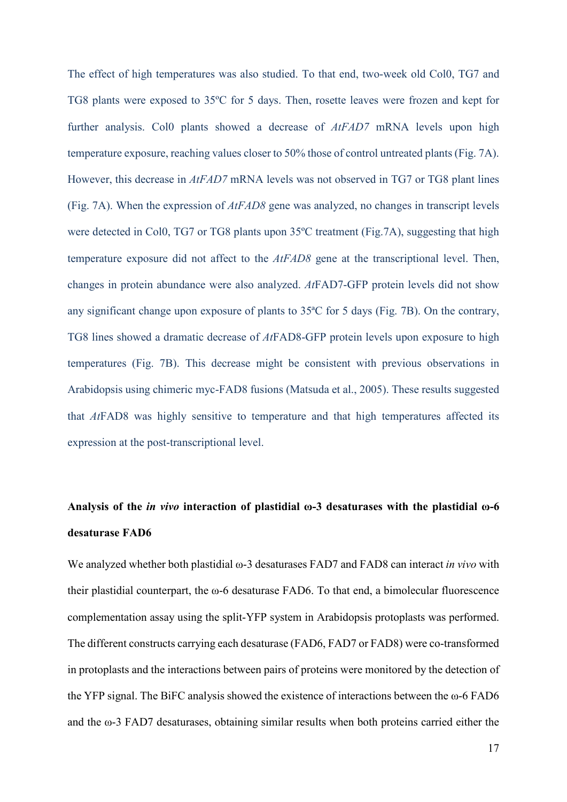The effect of high temperatures was also studied. To that end, two-week old Col0, TG7 and TG8 plants were exposed to 35ºC for 5 days. Then, rosette leaves were frozen and kept for further analysis. Col0 plants showed a decrease of *AtFAD7* mRNA levels upon high temperature exposure, reaching values closer to 50% those of control untreated plants (Fig. 7A). However, this decrease in *AtFAD7* mRNA levels was not observed in TG7 or TG8 plant lines (Fig. 7A). When the expression of *AtFAD8* gene was analyzed, no changes in transcript levels were detected in Col0, TG7 or TG8 plants upon 35ºC treatment (Fig.7A), suggesting that high temperature exposure did not affect to the *AtFAD8* gene at the transcriptional level. Then, changes in protein abundance were also analyzed. *At*FAD7-GFP protein levels did not show any significant change upon exposure of plants to 35ªC for 5 days (Fig. 7B). On the contrary, TG8 lines showed a dramatic decrease of *At*FAD8-GFP protein levels upon exposure to high temperatures (Fig. 7B). This decrease might be consistent with previous observations in Arabidopsis using chimeric myc-FAD8 fusions (Matsuda et al., 2005). These results suggested that *At*FAD8 was highly sensitive to temperature and that high temperatures affected its expression at the post-transcriptional level.

## **Analysis of the** *in vivo* **interaction of plastidial ω-3 desaturases with the plastidial ω-6 desaturase FAD6**

We analyzed whether both plastidial ω-3 desaturases FAD7 and FAD8 can interact *in vivo* with their plastidial counterpart, the ω-6 desaturase FAD6. To that end, a bimolecular fluorescence complementation assay using the split-YFP system in Arabidopsis protoplasts was performed. The different constructs carrying each desaturase (FAD6, FAD7 or FAD8) were co-transformed in protoplasts and the interactions between pairs of proteins were monitored by the detection of the YFP signal. The BiFC analysis showed the existence of interactions between the ω-6 FAD6 and the ω-3 FAD7 desaturases, obtaining similar results when both proteins carried either the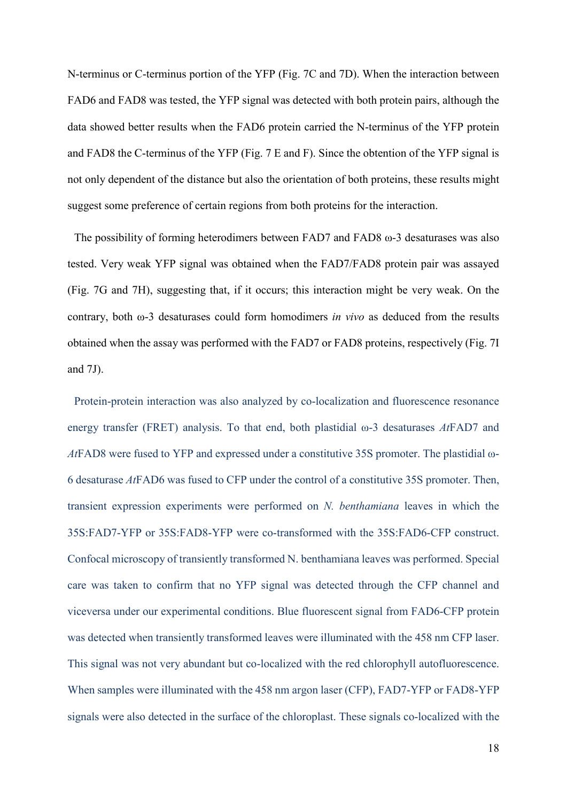N-terminus or C-terminus portion of the YFP (Fig. 7C and 7D). When the interaction between FAD6 and FAD8 was tested, the YFP signal was detected with both protein pairs, although the data showed better results when the FAD6 protein carried the N-terminus of the YFP protein and FAD8 the C-terminus of the YFP (Fig. 7 E and F). Since the obtention of the YFP signal is not only dependent of the distance but also the orientation of both proteins, these results might suggest some preference of certain regions from both proteins for the interaction.

The possibility of forming heterodimers between FAD7 and FAD8 ω-3 desaturases was also tested. Very weak YFP signal was obtained when the FAD7/FAD8 protein pair was assayed (Fig. 7G and 7H), suggesting that, if it occurs; this interaction might be very weak. On the contrary, both ω-3 desaturases could form homodimers *in vivo* as deduced from the results obtained when the assay was performed with the FAD7 or FAD8 proteins, respectively (Fig. 7I and 7J).

Protein-protein interaction was also analyzed by co-localization and fluorescence resonance energy transfer (FRET) analysis. To that end, both plastidial ω-3 desaturases *At*FAD7 and *At*FAD8 were fused to YFP and expressed under a constitutive 35S promoter. The plastidial ω-6 desaturase *At*FAD6 was fused to CFP under the control of a constitutive 35S promoter. Then, transient expression experiments were performed on *N. benthamiana* leaves in which the 35S:FAD7-YFP or 35S:FAD8-YFP were co-transformed with the 35S:FAD6-CFP construct. Confocal microscopy of transiently transformed N. benthamiana leaves was performed. Special care was taken to confirm that no YFP signal was detected through the CFP channel and viceversa under our experimental conditions. Blue fluorescent signal from FAD6-CFP protein was detected when transiently transformed leaves were illuminated with the 458 nm CFP laser. This signal was not very abundant but co-localized with the red chlorophyll autofluorescence. When samples were illuminated with the 458 nm argon laser (CFP), FAD7-YFP or FAD8-YFP signals were also detected in the surface of the chloroplast. These signals co-localized with the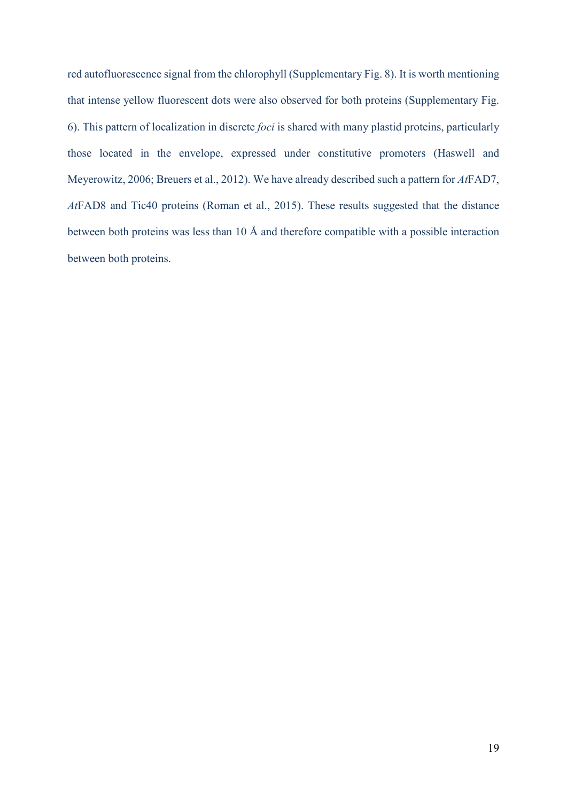red autofluorescence signal from the chlorophyll (Supplementary Fig. 8). It is worth mentioning that intense yellow fluorescent dots were also observed for both proteins (Supplementary Fig. 6). This pattern of localization in discrete *foci* is shared with many plastid proteins, particularly those located in the envelope, expressed under constitutive promoters (Haswell and Meyerowitz, 2006; Breuers et al., 2012). We have already described such a pattern for *At*FAD7, *At*FAD8 and Tic40 proteins (Roman et al., 2015). These results suggested that the distance between both proteins was less than 10 Å and therefore compatible with a possible interaction between both proteins.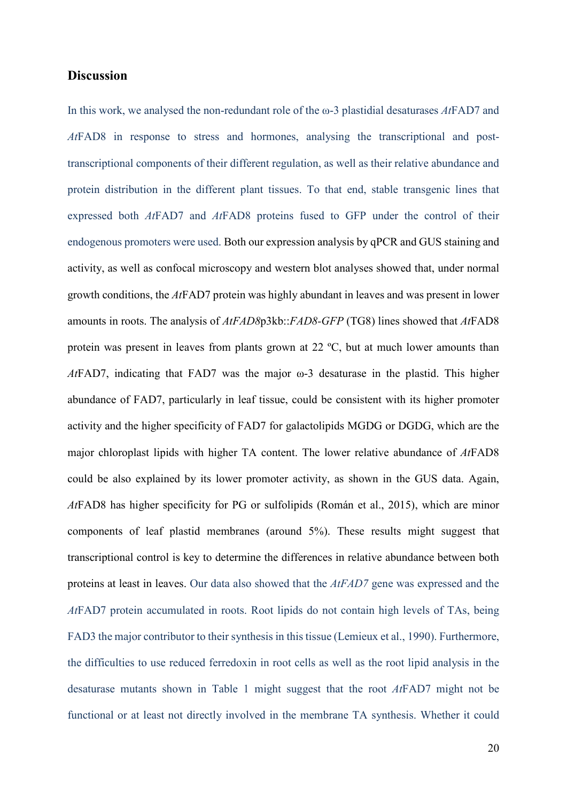## **Discussion**

In this work, we analysed the non-redundant role of the ω-3 plastidial desaturases *At*FAD7 and *At*FAD8 in response to stress and hormones, analysing the transcriptional and posttranscriptional components of their different regulation, as well as their relative abundance and protein distribution in the different plant tissues. To that end, stable transgenic lines that expressed both *At*FAD7 and *At*FAD8 proteins fused to GFP under the control of their endogenous promoters were used. Both our expression analysis by qPCR and GUS staining and activity, as well as confocal microscopy and western blot analyses showed that, under normal growth conditions, the *At*FAD7 protein was highly abundant in leaves and was present in lower amounts in roots. The analysis of *AtFAD8*p3kb::*FAD8-GFP* (TG8) lines showed that *At*FAD8 protein was present in leaves from plants grown at 22 ºC, but at much lower amounts than *At*FAD7, indicating that FAD7 was the major ω-3 desaturase in the plastid. This higher abundance of FAD7, particularly in leaf tissue, could be consistent with its higher promoter activity and the higher specificity of FAD7 for galactolipids MGDG or DGDG, which are the major chloroplast lipids with higher TA content. The lower relative abundance of *At*FAD8 could be also explained by its lower promoter activity, as shown in the GUS data. Again, *At*FAD8 has higher specificity for PG or sulfolipids (Román et al., 2015), which are minor components of leaf plastid membranes (around 5%). These results might suggest that transcriptional control is key to determine the differences in relative abundance between both proteins at least in leaves. Our data also showed that the *AtFAD7* gene was expressed and the *At*FAD7 protein accumulated in roots. Root lipids do not contain high levels of TAs, being FAD3 the major contributor to their synthesis in this tissue (Lemieux et al., 1990). Furthermore, the difficulties to use reduced ferredoxin in root cells as well as the root lipid analysis in the desaturase mutants shown in Table 1 might suggest that the root *At*FAD7 might not be functional or at least not directly involved in the membrane TA synthesis. Whether it could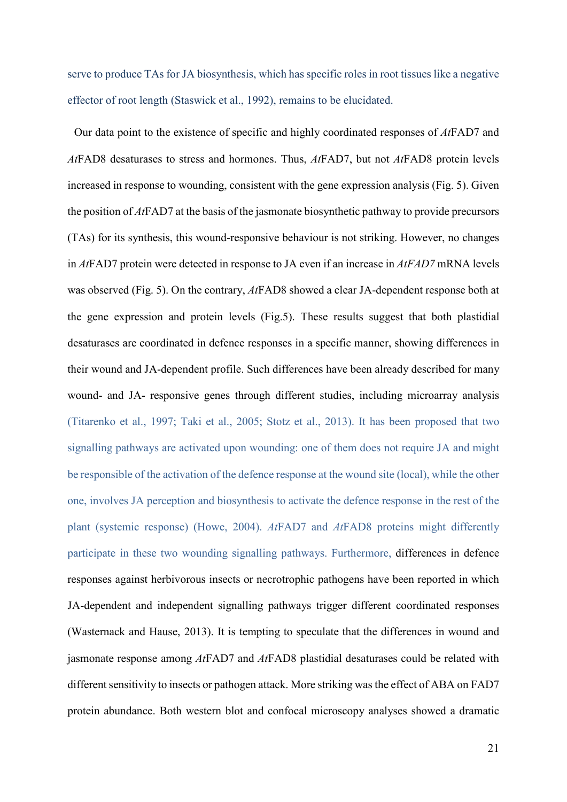serve to produce TAs for JA biosynthesis, which has specific roles in root tissues like a negative effector of root length (Staswick et al., 1992), remains to be elucidated.

Our data point to the existence of specific and highly coordinated responses of *At*FAD7 and *At*FAD8 desaturases to stress and hormones. Thus, *At*FAD7, but not *At*FAD8 protein levels increased in response to wounding, consistent with the gene expression analysis (Fig. 5). Given the position of *At*FAD7 at the basis of the jasmonate biosynthetic pathway to provide precursors (TAs) for its synthesis, this wound-responsive behaviour is not striking. However, no changes in *At*FAD7 protein were detected in response to JA even if an increase in *AtFAD7* mRNA levels was observed (Fig. 5). On the contrary, *At*FAD8 showed a clear JA-dependent response both at the gene expression and protein levels (Fig.5). These results suggest that both plastidial desaturases are coordinated in defence responses in a specific manner, showing differences in their wound and JA-dependent profile. Such differences have been already described for many wound- and JA- responsive genes through different studies, including microarray analysis (Titarenko et al., 1997; Taki et al., 2005; Stotz et al., 2013). It has been proposed that two signalling pathways are activated upon wounding: one of them does not require JA and might be responsible of the activation of the defence response at the wound site (local), while the other one, involves JA perception and biosynthesis to activate the defence response in the rest of the plant (systemic response) (Howe, 2004). *At*FAD7 and *At*FAD8 proteins might differently participate in these two wounding signalling pathways. Furthermore, differences in defence responses against herbivorous insects or necrotrophic pathogens have been reported in which JA-dependent and independent signalling pathways trigger different coordinated responses (Wasternack and Hause, 2013). It is tempting to speculate that the differences in wound and jasmonate response among *At*FAD7 and *At*FAD8 plastidial desaturases could be related with different sensitivity to insects or pathogen attack. More striking was the effect of ABA on FAD7 protein abundance. Both western blot and confocal microscopy analyses showed a dramatic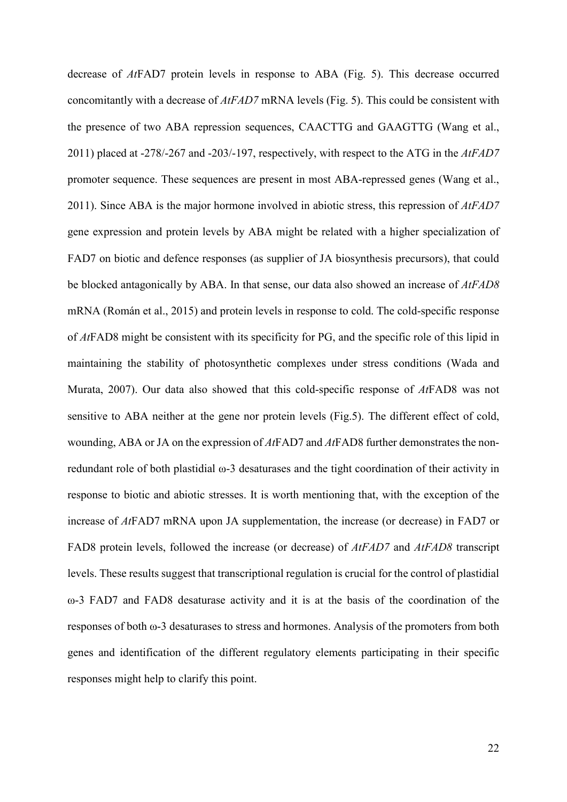decrease of *At*FAD7 protein levels in response to ABA (Fig. 5). This decrease occurred concomitantly with a decrease of *AtFAD7* mRNA levels (Fig. 5). This could be consistent with the presence of two ABA repression sequences, CAACTTG and GAAGTTG (Wang et al., 2011) placed at -278/-267 and -203/-197, respectively, with respect to the ATG in the *AtFAD7* promoter sequence. These sequences are present in most ABA-repressed genes (Wang et al., 2011). Since ABA is the major hormone involved in abiotic stress, this repression of *AtFAD7* gene expression and protein levels by ABA might be related with a higher specialization of FAD7 on biotic and defence responses (as supplier of JA biosynthesis precursors), that could be blocked antagonically by ABA. In that sense, our data also showed an increase of *AtFAD8* mRNA (Román et al., 2015) and protein levels in response to cold. The cold-specific response of *At*FAD8 might be consistent with its specificity for PG, and the specific role of this lipid in maintaining the stability of photosynthetic complexes under stress conditions (Wada and Murata, 2007). Our data also showed that this cold-specific response of *At*FAD8 was not sensitive to ABA neither at the gene nor protein levels (Fig.5). The different effect of cold, wounding, ABA or JA on the expression of *At*FAD7 and *At*FAD8 further demonstrates the nonredundant role of both plastidial ω-3 desaturases and the tight coordination of their activity in response to biotic and abiotic stresses. It is worth mentioning that, with the exception of the increase of *At*FAD7 mRNA upon JA supplementation, the increase (or decrease) in FAD7 or FAD8 protein levels, followed the increase (or decrease) of *AtFAD7* and *AtFAD8* transcript levels. These results suggest that transcriptional regulation is crucial for the control of plastidial ω-3 FAD7 and FAD8 desaturase activity and it is at the basis of the coordination of the responses of both ω-3 desaturases to stress and hormones. Analysis of the promoters from both genes and identification of the different regulatory elements participating in their specific responses might help to clarify this point.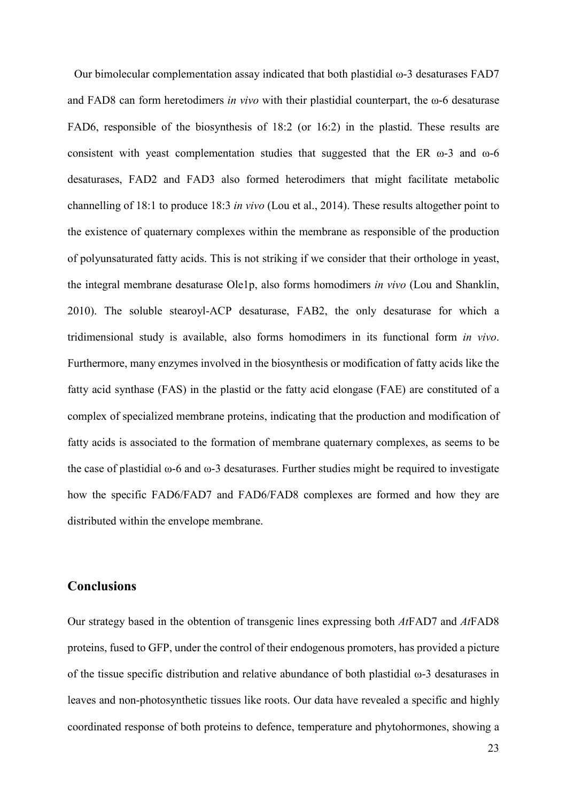Our bimolecular complementation assay indicated that both plastidial ω-3 desaturases FAD7 and FAD8 can form heretodimers *in vivo* with their plastidial counterpart, the ω-6 desaturase FAD6, responsible of the biosynthesis of 18:2 (or 16:2) in the plastid. These results are consistent with yeast complementation studies that suggested that the ER  $\omega$ -3 and  $\omega$ -6 desaturases, FAD2 and FAD3 also formed heterodimers that might facilitate metabolic channelling of 18:1 to produce 18:3 *in vivo* (Lou et al., 2014). These results altogether point to the existence of quaternary complexes within the membrane as responsible of the production of polyunsaturated fatty acids. This is not striking if we consider that their orthologe in yeast, the integral membrane desaturase Ole1p, also forms homodimers *in vivo* (Lou and Shanklin, 2010). The soluble stearoyl-ACP desaturase, FAB2, the only desaturase for which a tridimensional study is available, also forms homodimers in its functional form *in vivo*. Furthermore, many enzymes involved in the biosynthesis or modification of fatty acids like the fatty acid synthase (FAS) in the plastid or the fatty acid elongase (FAE) are constituted of a complex of specialized membrane proteins, indicating that the production and modification of fatty acids is associated to the formation of membrane quaternary complexes, as seems to be the case of plastidial ω-6 and ω-3 desaturases. Further studies might be required to investigate how the specific FAD6/FAD7 and FAD6/FAD8 complexes are formed and how they are distributed within the envelope membrane.

## **Conclusions**

Our strategy based in the obtention of transgenic lines expressing both *At*FAD7 and *At*FAD8 proteins, fused to GFP, under the control of their endogenous promoters, has provided a picture of the tissue specific distribution and relative abundance of both plastidial ω-3 desaturases in leaves and non-photosynthetic tissues like roots. Our data have revealed a specific and highly coordinated response of both proteins to defence, temperature and phytohormones, showing a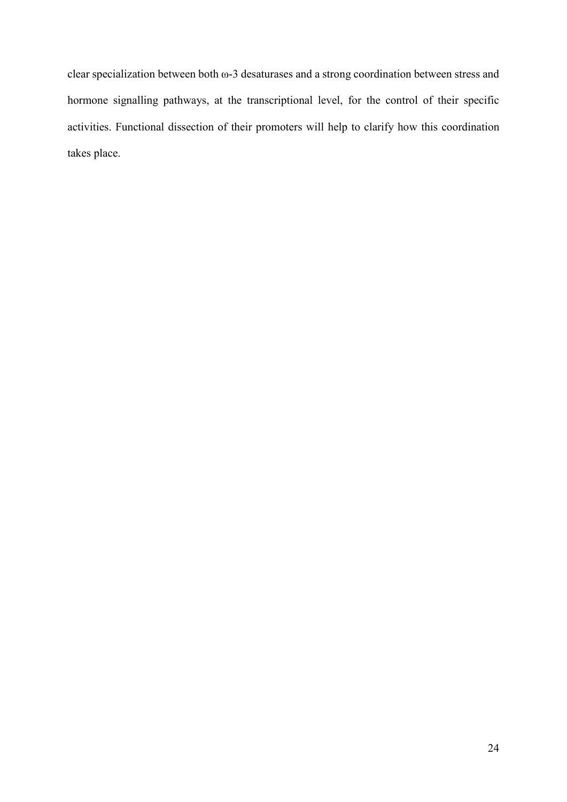clear specialization between both ω-3 desaturases and a strong coordination between stress and hormone signalling pathways, at the transcriptional level, for the control of their specific activities. Functional dissection of their promoters will help to clarify how this coordination takes place.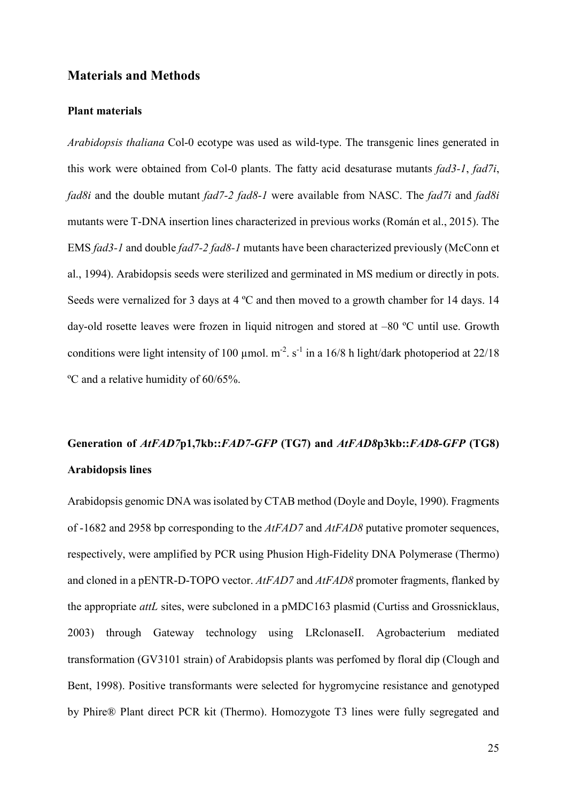## **Materials and Methods**

## **Plant materials**

*Arabidopsis thaliana* Col-0 ecotype was used as wild-type. The transgenic lines generated in this work were obtained from Col-0 plants. The fatty acid desaturase mutants *fad3-1*, *fad7i*, *fad8i* and the double mutant *fad7-2 fad8-1* were available from NASC. The *fad7i* and *fad8i* mutants were T-DNA insertion lines characterized in previous works (Román et al., 2015). The EMS *fad3-1* and double *fad7-2 fad8-1* mutants have been characterized previously (McConn et al., 1994). Arabidopsis seeds were sterilized and germinated in MS medium or directly in pots. Seeds were vernalized for 3 days at 4 ºC and then moved to a growth chamber for 14 days. 14 day-old rosette leaves were frozen in liquid nitrogen and stored at –80 ºC until use. Growth conditions were light intensity of 100  $\mu$ mol. m<sup>-2</sup>. s<sup>-1</sup> in a 16/8 h light/dark photoperiod at 22/18 ºC and a relative humidity of 60/65%.

## **Generation of** *AtFAD7***p1,7kb::***FAD7-GFP* **(TG7) and** *AtFAD8***p3kb::***FAD8-GFP* **(TG8) Arabidopsis lines**

Arabidopsis genomic DNA was isolated by CTAB method (Doyle and Doyle, 1990). Fragments of -1682 and 2958 bp corresponding to the *AtFAD7* and *AtFAD8* putative promoter sequences, respectively, were amplified by PCR using Phusion High-Fidelity DNA Polymerase (Thermo) and cloned in a pENTR-D-TOPO vector. *AtFAD7* and *AtFAD8* promoter fragments, flanked by the appropriate *attL* sites, were subcloned in a pMDC163 plasmid (Curtiss and Grossnicklaus, 2003) through Gateway technology using LRclonaseII. Agrobacterium mediated transformation (GV3101 strain) of Arabidopsis plants was perfomed by floral dip (Clough and Bent, 1998). Positive transformants were selected for hygromycine resistance and genotyped by Phire® Plant direct PCR kit (Thermo). Homozygote T3 lines were fully segregated and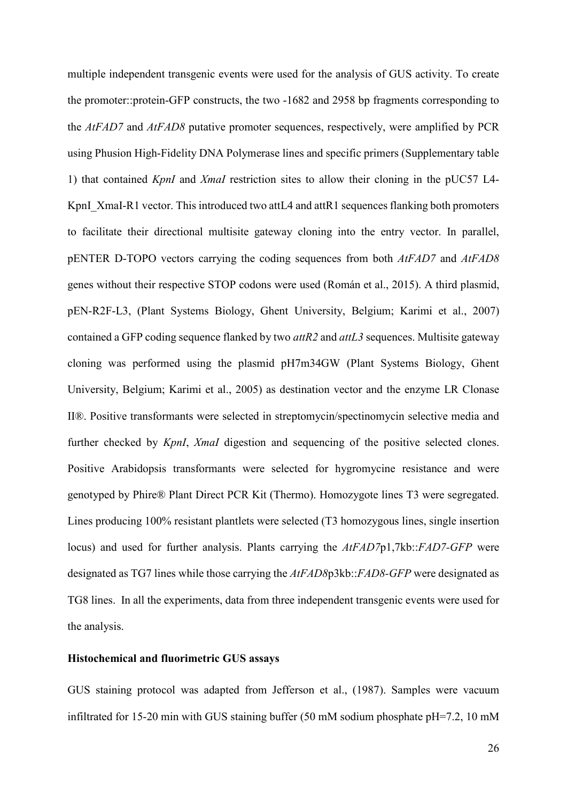multiple independent transgenic events were used for the analysis of GUS activity. To create the promoter::protein-GFP constructs, the two -1682 and 2958 bp fragments corresponding to the *AtFAD7* and *AtFAD8* putative promoter sequences, respectively, were amplified by PCR using Phusion High-Fidelity DNA Polymerase lines and specific primers (Supplementary table 1) that contained *KpnI* and *XmaI* restriction sites to allow their cloning in the pUC57 L4- KpnI\_XmaI-R1 vector. This introduced two attL4 and attR1 sequences flanking both promoters to facilitate their directional multisite gateway cloning into the entry vector. In parallel, pENTER D-TOPO vectors carrying the coding sequences from both *AtFAD7* and *AtFAD8* genes without their respective STOP codons were used (Román et al., 2015). A third plasmid, pEN-R2F-L3, (Plant Systems Biology, Ghent University, Belgium; Karimi et al., 2007) contained a GFP coding sequence flanked by two *attR2* and *attL3* sequences. Multisite gateway cloning was performed using the plasmid pH7m34GW (Plant Systems Biology, Ghent University, Belgium; Karimi et al., 2005) as destination vector and the enzyme LR Clonase II®. Positive transformants were selected in streptomycin/spectinomycin selective media and further checked by *KpnI*, *XmaI* digestion and sequencing of the positive selected clones. Positive Arabidopsis transformants were selected for hygromycine resistance and were genotyped by Phire® Plant Direct PCR Kit (Thermo). Homozygote lines T3 were segregated. Lines producing 100% resistant plantlets were selected (T3 homozygous lines, single insertion locus) and used for further analysis. Plants carrying the *AtFAD7*p1,7kb::*FAD7-GFP* were designated as TG7 lines while those carrying the *AtFAD8*p3kb::*FAD8-GFP* were designated as TG8 lines. In all the experiments, data from three independent transgenic events were used for the analysis.

## **Histochemical and fluorimetric GUS assays**

GUS staining protocol was adapted from Jefferson et al., (1987). Samples were vacuum infiltrated for 15-20 min with GUS staining buffer (50 mM sodium phosphate pH=7.2, 10 mM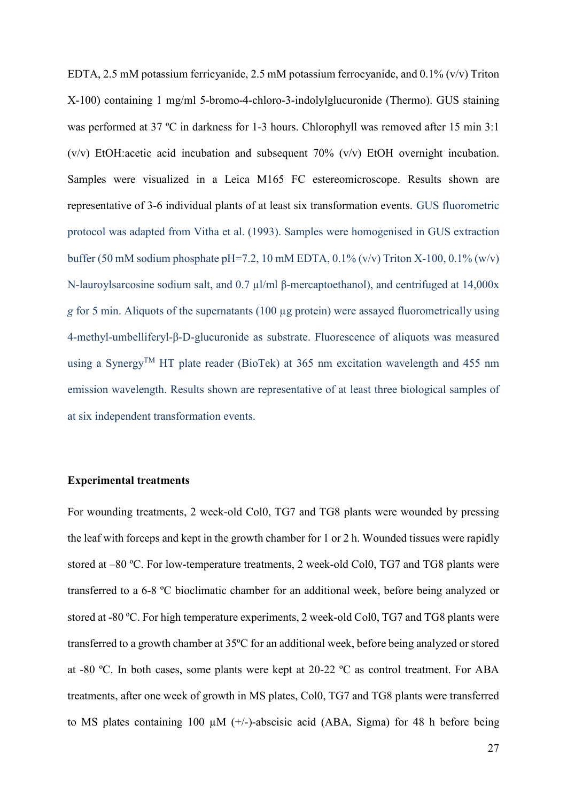EDTA, 2.5 mM potassium ferricyanide, 2.5 mM potassium ferrocyanide, and 0.1% (v/v) Triton X-100) containing 1 mg/ml 5-bromo-4-chloro-3-indolylglucuronide (Thermo). GUS staining was performed at 37 ºC in darkness for 1-3 hours. Chlorophyll was removed after 15 min 3:1 (v/v) EtOH:acetic acid incubation and subsequent 70% (v/v) EtOH overnight incubation. Samples were visualized in a Leica M165 FC estereomicroscope. Results shown are representative of 3-6 individual plants of at least six transformation events. GUS fluorometric protocol was adapted from Vitha et al. (1993). Samples were homogenised in GUS extraction buffer (50 mM sodium phosphate pH=7.2, 10 mM EDTA,  $0.1\%$  (v/v) Triton X-100,  $0.1\%$  (w/v) N-lauroylsarcosine sodium salt, and 0.7 µl/ml β-mercaptoethanol), and centrifuged at 14,000x *g* for 5 min. Aliquots of the supernatants (100 µg protein) were assayed fluorometrically using 4-methyl-umbelliferyl-β-D-glucuronide as substrate. Fluorescence of aliquots was measured using a Synergy<sup>TM</sup> HT plate reader (BioTek) at 365 nm excitation wavelength and 455 nm emission wavelength. Results shown are representative of at least three biological samples of at six independent transformation events.

### **Experimental treatments**

For wounding treatments, 2 week-old Col0, TG7 and TG8 plants were wounded by pressing the leaf with forceps and kept in the growth chamber for 1 or 2 h. Wounded tissues were rapidly stored at –80 ºC. For low-temperature treatments, 2 week-old Col0, TG7 and TG8 plants were transferred to a 6-8 ºC bioclimatic chamber for an additional week, before being analyzed or stored at -80 ºC. For high temperature experiments, 2 week-old Col0, TG7 and TG8 plants were transferred to a growth chamber at 35ºC for an additional week, before being analyzed or stored at -80 ºC. In both cases, some plants were kept at 20-22 ºC as control treatment. For ABA treatments, after one week of growth in MS plates, Col0, TG7 and TG8 plants were transferred to MS plates containing 100  $\mu$ M (+/-)-abscisic acid (ABA, Sigma) for 48 h before being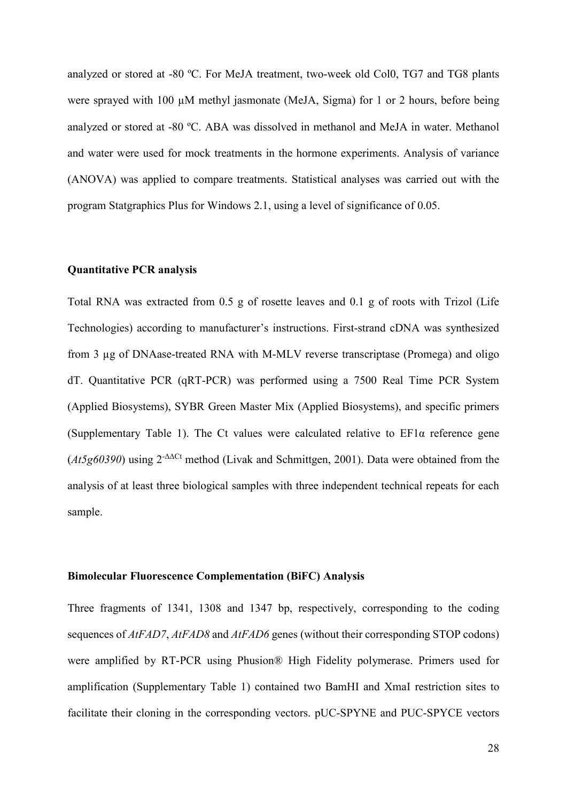analyzed or stored at -80 ºC. For MeJA treatment, two-week old Col0, TG7 and TG8 plants were sprayed with 100  $\mu$ M methyl jasmonate (MeJA, Sigma) for 1 or 2 hours, before being analyzed or stored at -80 ºC. ABA was dissolved in methanol and MeJA in water. Methanol and water were used for mock treatments in the hormone experiments. Analysis of variance (ANOVA) was applied to compare treatments. Statistical analyses was carried out with the program Statgraphics Plus for Windows 2.1, using a level of significance of 0.05.

## **Quantitative PCR analysis**

Total RNA was extracted from 0.5 g of rosette leaves and 0.1 g of roots with Trizol (Life Technologies) according to manufacturer's instructions. First-strand cDNA was synthesized from 3 µg of DNAase-treated RNA with M-MLV reverse transcriptase (Promega) and oligo dT. Quantitative PCR (qRT-PCR) was performed using a 7500 Real Time PCR System (Applied Biosystems), SYBR Green Master Mix (Applied Biosystems), and specific primers (Supplementary Table 1). The Ct values were calculated relative to EF1α reference gene (*At5g60390*) using 2-ΔΔCt method (Livak and Schmittgen, 2001). Data were obtained from the analysis of at least three biological samples with three independent technical repeats for each sample.

### **Bimolecular Fluorescence Complementation (BiFC) Analysis**

Three fragments of 1341, 1308 and 1347 bp, respectively, corresponding to the coding sequences of *AtFAD7*, *AtFAD8* and *AtFAD6* genes (without their corresponding STOP codons) were amplified by RT-PCR using Phusion® High Fidelity polymerase. Primers used for amplification (Supplementary Table 1) contained two BamHI and XmaI restriction sites to facilitate their cloning in the corresponding vectors. pUC-SPYNE and PUC-SPYCE vectors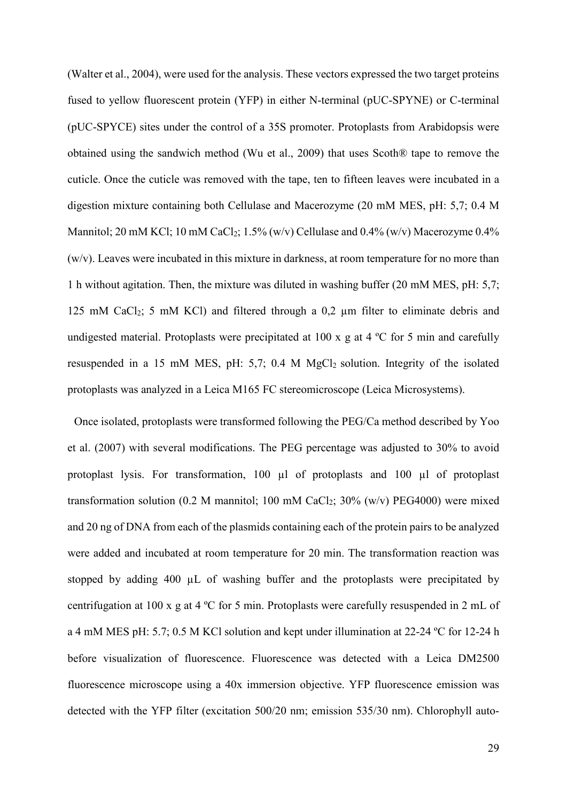(Walter et al., 2004), were used for the analysis. These vectors expressed the two target proteins fused to yellow fluorescent protein (YFP) in either N-terminal (pUC-SPYNE) or C-terminal (pUC-SPYCE) sites under the control of a 35S promoter. Protoplasts from Arabidopsis were obtained using the sandwich method (Wu et al., 2009) that uses Scoth® tape to remove the cuticle. Once the cuticle was removed with the tape, ten to fifteen leaves were incubated in a digestion mixture containing both Cellulase and Macerozyme (20 mM MES, pH: 5,7; 0.4 M Mannitol; 20 mM KCl; 10 mM CaCl<sub>2</sub>; 1.5% (w/v) Cellulase and 0.4% (w/v) Macerozyme 0.4% (w/v). Leaves were incubated in this mixture in darkness, at room temperature for no more than 1 h without agitation. Then, the mixture was diluted in washing buffer (20 mM MES, pH: 5,7; 125 mM CaCl<sub>2</sub>; 5 mM KCl) and filtered through a 0,2  $\mu$ m filter to eliminate debris and undigested material. Protoplasts were precipitated at 100 x g at 4 °C for 5 min and carefully resuspended in a 15 mM MES, pH:  $5.7$ ; 0.4 M MgCl<sub>2</sub> solution. Integrity of the isolated protoplasts was analyzed in a Leica M165 FC stereomicroscope (Leica Microsystems).

Once isolated, protoplasts were transformed following the PEG/Ca method described by Yoo et al. (2007) with several modifications. The PEG percentage was adjusted to 30% to avoid protoplast lysis. For transformation, 100 µl of protoplasts and 100 µl of protoplast transformation solution (0.2 M mannitol; 100 mM CaCl<sub>2</sub>;  $30\%$  (w/v) PEG4000) were mixed and 20 ng of DNA from each of the plasmids containing each of the protein pairs to be analyzed were added and incubated at room temperature for 20 min. The transformation reaction was stopped by adding 400 µL of washing buffer and the protoplasts were precipitated by centrifugation at 100 x g at 4 ºC for 5 min. Protoplasts were carefully resuspended in 2 mL of a 4 mM MES pH: 5.7; 0.5 M KCl solution and kept under illumination at 22-24 ºC for 12-24 h before visualization of fluorescence. Fluorescence was detected with a Leica DM2500 fluorescence microscope using a 40x immersion objective. YFP fluorescence emission was detected with the YFP filter (excitation 500/20 nm; emission 535/30 nm). Chlorophyll auto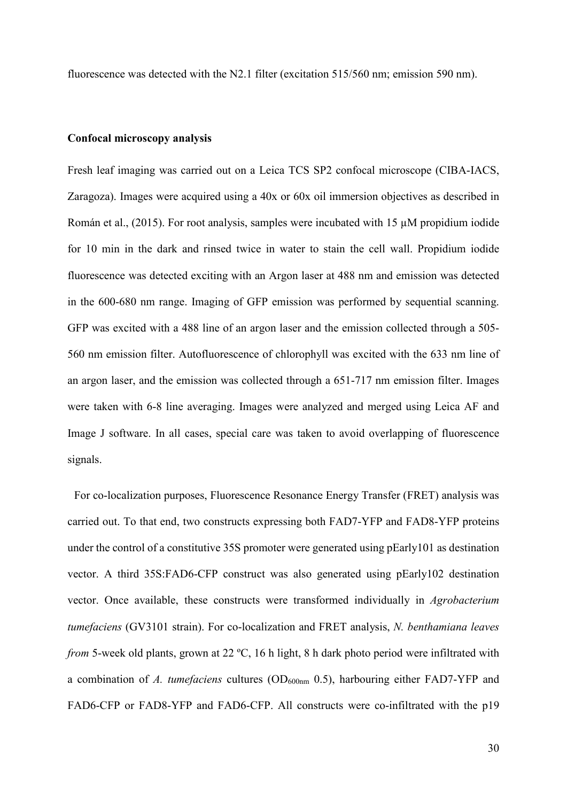fluorescence was detected with the N2.1 filter (excitation 515/560 nm; emission 590 nm).

### **Confocal microscopy analysis**

Fresh leaf imaging was carried out on a Leica TCS SP2 confocal microscope (CIBA-IACS, Zaragoza). Images were acquired using a 40x or 60x oil immersion objectives as described in Román et al., (2015). For root analysis, samples were incubated with 15 µM propidium iodide for 10 min in the dark and rinsed twice in water to stain the cell wall. Propidium iodide fluorescence was detected exciting with an Argon laser at 488 nm and emission was detected in the 600-680 nm range. Imaging of GFP emission was performed by sequential scanning. GFP was excited with a 488 line of an argon laser and the emission collected through a 505- 560 nm emission filter. Autofluorescence of chlorophyll was excited with the 633 nm line of an argon laser, and the emission was collected through a 651-717 nm emission filter. Images were taken with 6-8 line averaging. Images were analyzed and merged using Leica AF and Image J software. In all cases, special care was taken to avoid overlapping of fluorescence signals.

For co-localization purposes, Fluorescence Resonance Energy Transfer (FRET) analysis was carried out. To that end, two constructs expressing both FAD7-YFP and FAD8-YFP proteins under the control of a constitutive 35S promoter were generated using pEarly101 as destination vector. A third 35S:FAD6-CFP construct was also generated using pEarly102 destination vector. Once available, these constructs were transformed individually in *Agrobacterium tumefaciens* (GV3101 strain). For co-localization and FRET analysis, *N. benthamiana leaves from* 5-week old plants, grown at 22 ºC, 16 h light, 8 h dark photo period were infiltrated with a combination of *A. tumefaciens* cultures (OD600nm 0.5), harbouring either FAD7-YFP and FAD6-CFP or FAD8-YFP and FAD6-CFP. All constructs were co-infiltrated with the p19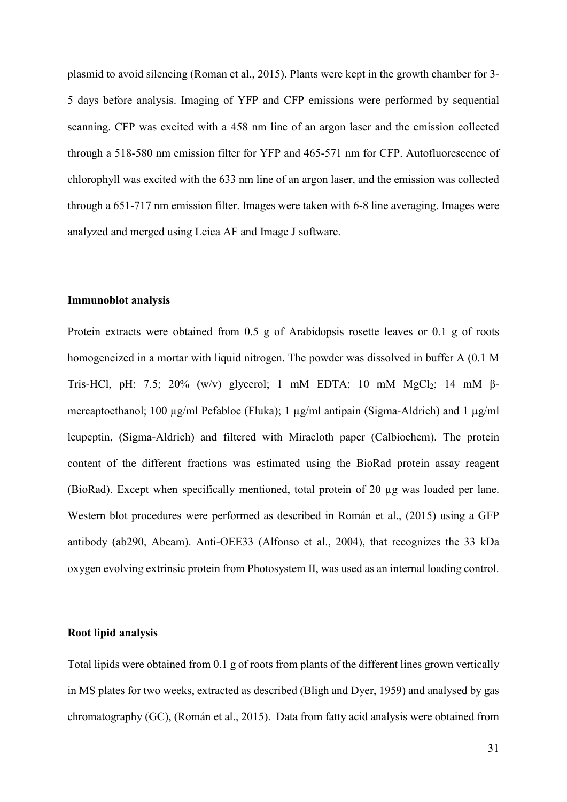plasmid to avoid silencing (Roman et al., 2015). Plants were kept in the growth chamber for 3- 5 days before analysis. Imaging of YFP and CFP emissions were performed by sequential scanning. CFP was excited with a 458 nm line of an argon laser and the emission collected through a 518-580 nm emission filter for YFP and 465-571 nm for CFP. Autofluorescence of chlorophyll was excited with the 633 nm line of an argon laser, and the emission was collected through a 651-717 nm emission filter. Images were taken with 6-8 line averaging. Images were analyzed and merged using Leica AF and Image J software.

## **Immunoblot analysis**

Protein extracts were obtained from 0.5 g of Arabidopsis rosette leaves or 0.1 g of roots homogeneized in a mortar with liquid nitrogen. The powder was dissolved in buffer A (0.1 M Tris-HCl, pH: 7.5; 20% (w/v) glycerol; 1 mM EDTA; 10 mM MgCl<sub>2</sub>; 14 mM  $\beta$ mercaptoethanol; 100 µg/ml Pefabloc (Fluka); 1 µg/ml antipain (Sigma-Aldrich) and 1 µg/ml leupeptin, (Sigma-Aldrich) and filtered with Miracloth paper (Calbiochem). The protein content of the different fractions was estimated using the BioRad protein assay reagent (BioRad). Except when specifically mentioned, total protein of 20 µg was loaded per lane. Western blot procedures were performed as described in Román et al., (2015) using a GFP antibody (ab290, Abcam). Anti-OEE33 (Alfonso et al., 2004), that recognizes the 33 kDa oxygen evolving extrinsic protein from Photosystem II, was used as an internal loading control.

## **Root lipid analysis**

Total lipids were obtained from 0.1 g of roots from plants of the different lines grown vertically in MS plates for two weeks, extracted as described (Bligh and Dyer, 1959) and analysed by gas chromatography (GC), (Román et al., 2015). Data from fatty acid analysis were obtained from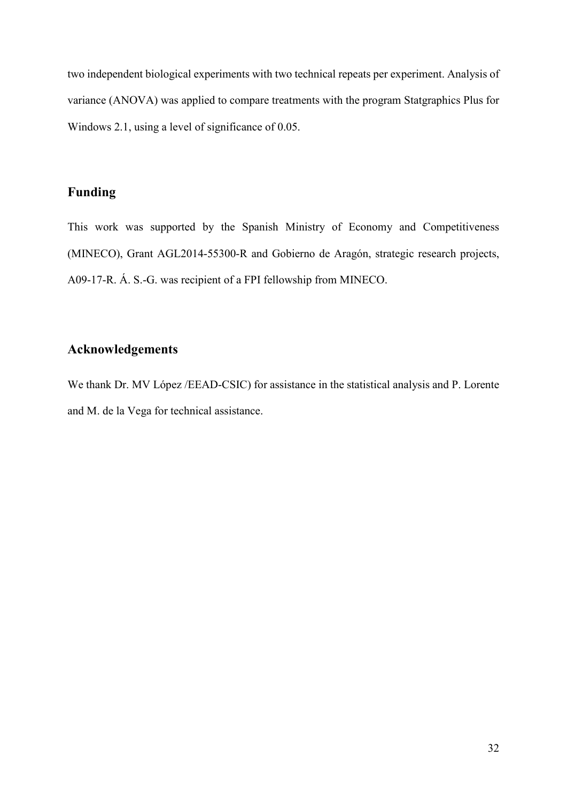two independent biological experiments with two technical repeats per experiment. Analysis of variance (ANOVA) was applied to compare treatments with the program Statgraphics Plus for Windows 2.1, using a level of significance of 0.05.

## **Funding**

This work was supported by the Spanish Ministry of Economy and Competitiveness (MINECO), Grant AGL2014-55300-R and Gobierno de Aragón, strategic research projects, A09-17-R. Á. S.-G. was recipient of a FPI fellowship from MINECO.

## **Acknowledgements**

We thank Dr. MV López /EEAD-CSIC) for assistance in the statistical analysis and P. Lorente and M. de la Vega for technical assistance.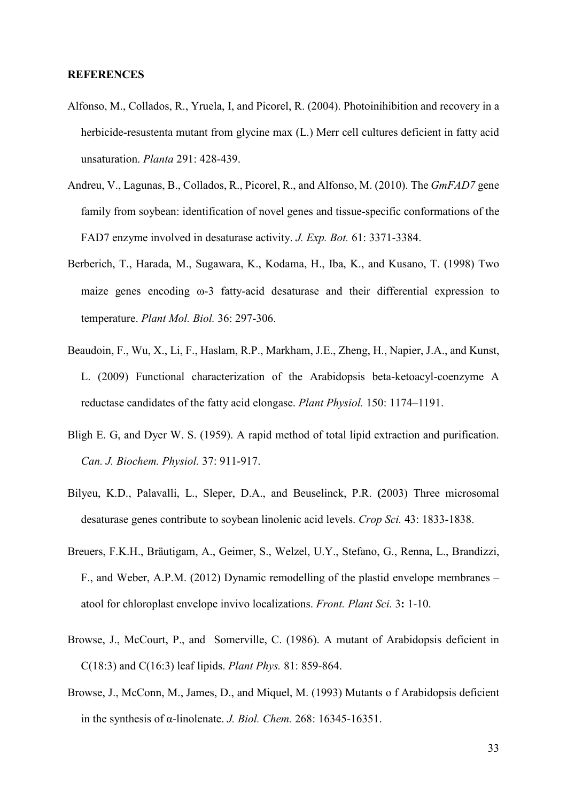#### **REFERENCES**

- Alfonso, M., Collados, R., Yruela, I, and Picorel, R. (2004). Photoinihibition and recovery in a herbicide-resustenta mutant from glycine max (L.) Merr cell cultures deficient in fatty acid unsaturation. *Planta* 291: 428-439.
- Andreu, V., Lagunas, B., Collados, R., Picorel, R., and Alfonso, M. (2010). The *GmFAD7* gene family from soybean: identification of novel genes and tissue-specific conformations of the FAD7 enzyme involved in desaturase activity. *J. Exp. Bot.* 61: 3371-3384.
- Berberich, T., Harada, M., Sugawara, K., Kodama, H., Iba, K., and Kusano, T. (1998) Two maize genes encoding ω-3 fatty-acid desaturase and their differential expression to temperature. *Plant Mol. Biol.* 36: 297-306.
- Beaudoin, F., Wu, X., Li, F., Haslam, R.P., Markham, J.E., Zheng, H., Napier, J.A., and Kunst, L. (2009) Functional characterization of the Arabidopsis beta-ketoacyl-coenzyme A reductase candidates of the fatty acid elongase. *Plant Physiol.* 150: 1174–1191.
- Bligh E. G, and Dyer W. S. (1959). A rapid method of total lipid extraction and purification. *Can. J. Biochem. Physiol.* 37: 911-917.
- Bilyeu, K.D., Palavalli, L., Sleper, D.A., and Beuselinck, P.R. **(**2003) Three microsomal desaturase genes contribute to soybean linolenic acid levels. *Crop Sci.* 43: 1833-1838.
- Breuers, F.K.H., Bräutigam, A., Geimer, S., Welzel, U.Y., Stefano, G., Renna, L., Brandizzi, F., and Weber, A.P.M. (2012) Dynamic remodelling of the plastid envelope membranes – atool for chloroplast envelope invivo localizations. *Front. Plant Sci.* 3**:** 1-10.
- Browse, J., McCourt, P., and Somerville, C. (1986). A mutant of Arabidopsis deficient in C(18:3) and C(16:3) leaf lipids. *Plant Phys.* 81: 859-864.
- Browse, J., McConn, M., James, D., and Miquel, M. (1993) Mutants o f Arabidopsis deficient in the synthesis of α-linolenate. *J. Biol. Chem.* 268: 16345-16351.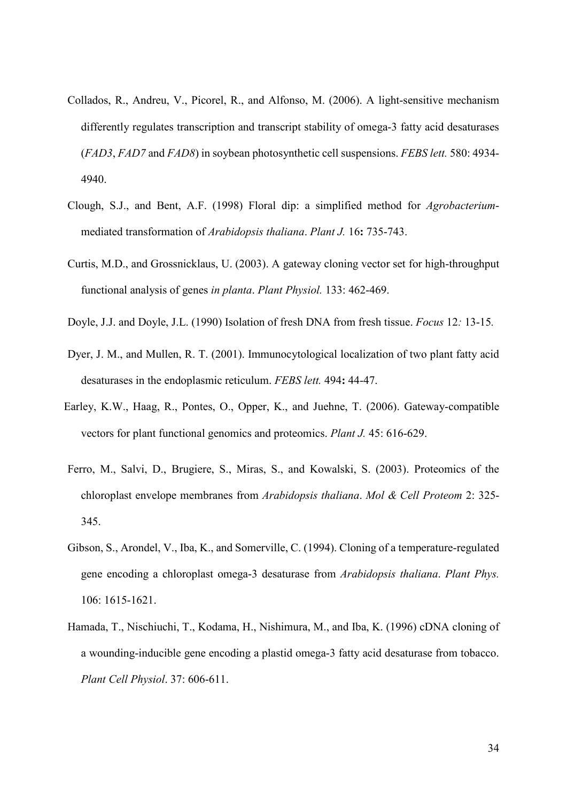- Collados, R., Andreu, V., Picorel, R., and Alfonso, M. (2006). A light-sensitive mechanism differently regulates transcription and transcript stability of omega-3 fatty acid desaturases (*FAD3*, *FAD7* and *FAD8*) in soybean photosynthetic cell suspensions. *FEBS lett.* 580: 4934- 4940.
- Clough, S.J., and Bent, A.F. (1998) Floral dip: a simplified method for *Agrobacterium*mediated transformation of *Arabidopsis thaliana*. *Plant J.* 16**:** 735-743.
- Curtis, M.D., and Grossnicklaus, U. (2003). A gateway cloning vector set for high-throughput functional analysis of genes *in planta*. *Plant Physiol.* 133: 462-469.
- Doyle, J.J. and Doyle, J.L. (1990) Isolation of fresh DNA from fresh tissue. *Focus* 12*:* 13-15*.*
- Dyer, J. M., and Mullen, R. T. (2001). Immunocytological localization of two plant fatty acid desaturases in the endoplasmic reticulum. *FEBS lett.* 494**:** 44-47.
- Earley, K.W., Haag, R., Pontes, O., Opper, K., and Juehne, T. (2006). Gateway-compatible vectors for plant functional genomics and proteomics. *Plant J.* 45: 616-629.
- Ferro, M., Salvi, D., Brugiere, S., Miras, S., and Kowalski, S. (2003). Proteomics of the chloroplast envelope membranes from *Arabidopsis thaliana*. *Mol & Cell Proteom* 2: 325- 345.
- Gibson, S., Arondel, V., Iba, K., and Somerville, C. (1994). Cloning of a temperature-regulated gene encoding a chloroplast omega-3 desaturase from *Arabidopsis thaliana*. *Plant Phys.* 106: 1615-1621.
- Hamada, T., Nischiuchi, T., Kodama, H., Nishimura, M., and Iba, K. (1996) cDNA cloning of a wounding-inducible gene encoding a plastid omega-3 fatty acid desaturase from tobacco. *Plant Cell Physiol*. 37: 606-611.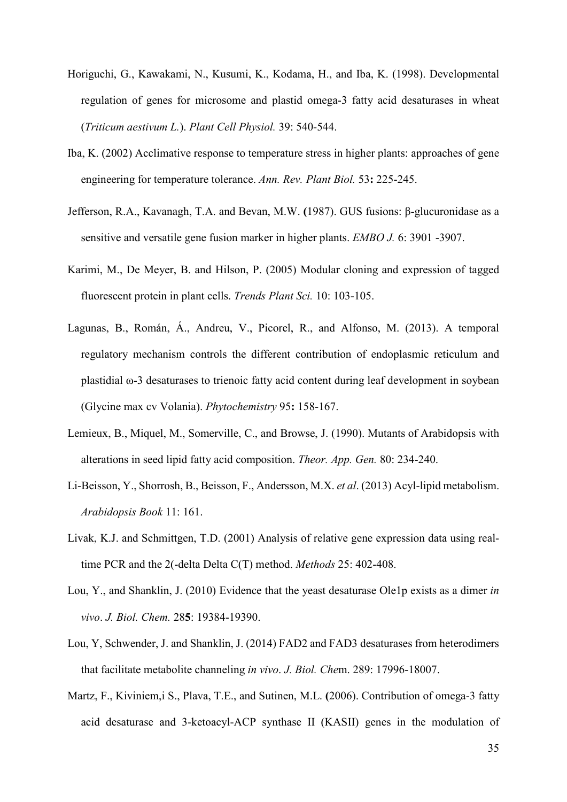- Horiguchi, G., Kawakami, N., Kusumi, K., Kodama, H., and Iba, K. (1998). Developmental regulation of genes for microsome and plastid omega-3 fatty acid desaturases in wheat (*Triticum aestivum L.*). *Plant Cell Physiol.* 39: 540-544.
- Iba, K. (2002) Acclimative response to temperature stress in higher plants: approaches of gene engineering for temperature tolerance. *Ann. Rev. Plant Biol.* 53**:** 225-245.
- Jefferson, R.A., Kavanagh, T.A. and Bevan, M.W. **(**1987). GUS fusions: β-glucuronidase as a sensitive and versatile gene fusion marker in higher plants. *EMBO J.* 6: 3901 -3907.
- Karimi, M., De Meyer, B. and Hilson, P. (2005) Modular cloning and expression of tagged fluorescent protein in plant cells. *Trends Plant Sci.* 10: 103-105.
- Lagunas, B., Román, Á., Andreu, V., Picorel, R., and Alfonso, M. (2013). A temporal regulatory mechanism controls the different contribution of endoplasmic reticulum and plastidial ω-3 desaturases to trienoic fatty acid content during leaf development in soybean (Glycine max cv Volania). *Phytochemistry* 95**:** 158-167.
- Lemieux, B., Miquel, M., Somerville, C., and Browse, J. (1990). Mutants of Arabidopsis with alterations in seed lipid fatty acid composition. *Theor. App. Gen.* 80: 234-240.
- Li-Beisson, Y., Shorrosh, B., Beisson, F., Andersson, M.X. *et al*. (2013) Acyl-lipid metabolism. *Arabidopsis Book* 11: 161.
- Livak, K.J. and Schmittgen, T.D. (2001) Analysis of relative gene expression data using realtime PCR and the 2(-delta Delta C(T) method. *Methods* 25: 402-408.
- Lou, Y., and Shanklin, J. (2010) Evidence that the yeast desaturase Ole1p exists as a dimer *in vivo*. *J. Biol. Chem.* 28**5**: 19384-19390.
- Lou, Y, Schwender, J. and Shanklin, J. (2014) FAD2 and FAD3 desaturases from heterodimers that facilitate metabolite channeling *in vivo*. *J. Biol. Che*m. 289: 17996-18007.
- Martz, F., Kiviniem,i S., Plava, T.E., and Sutinen, M.L. **(**2006). Contribution of omega-3 fatty acid desaturase and 3-ketoacyl-ACP synthase II (KASII) genes in the modulation of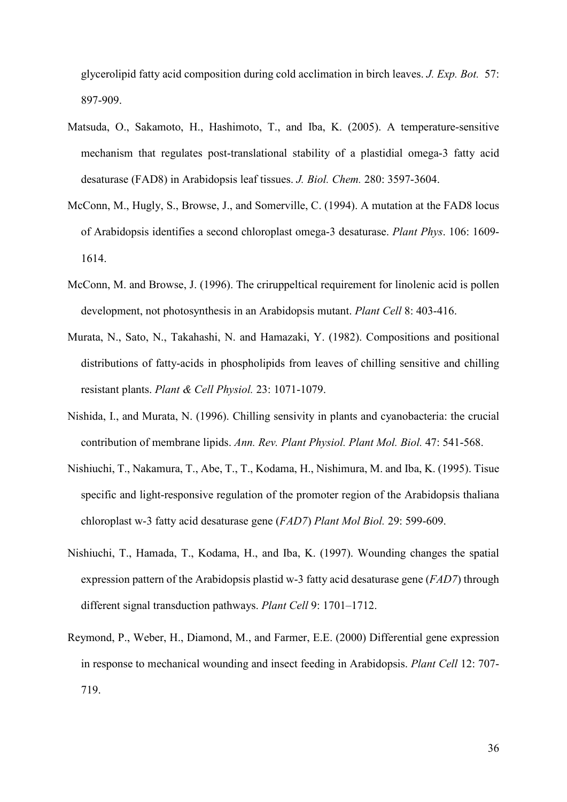glycerolipid fatty acid composition during cold acclimation in birch leaves. *J. Exp. Bot.* 57: 897-909.

- Matsuda, O., Sakamoto, H., Hashimoto, T., and Iba, K. (2005). A temperature-sensitive mechanism that regulates post-translational stability of a plastidial omega-3 fatty acid desaturase (FAD8) in Arabidopsis leaf tissues. *J. Biol. Chem.* 280: 3597-3604.
- McConn, M., Hugly, S., Browse, J., and Somerville, C. (1994). A mutation at the FAD8 locus of Arabidopsis identifies a second chloroplast omega-3 desaturase. *Plant Phys*. 106: 1609- 1614.
- McConn, M. and Browse, J. (1996). The criruppeltical requirement for linolenic acid is pollen development, not photosynthesis in an Arabidopsis mutant. *Plant Cell* 8: 403-416.
- Murata, N., Sato, N., Takahashi, N. and Hamazaki, Y. (1982). Compositions and positional distributions of fatty-acids in phospholipids from leaves of chilling sensitive and chilling resistant plants. *Plant & Cell Physiol.* 23: 1071-1079.
- Nishida, I., and Murata, N. (1996). Chilling sensivity in plants and cyanobacteria: the crucial contribution of membrane lipids. *Ann. Rev. Plant Physiol. Plant Mol. Biol.* 47: 541-568.
- Nishiuchi, T., Nakamura, T., Abe, T., T., Kodama, H., Nishimura, M. and Iba, K. (1995). Tisue specific and light-responsive regulation of the promoter region of the Arabidopsis thaliana chloroplast w-3 fatty acid desaturase gene (*FAD7*) *Plant Mol Biol.* 29: 599-609.
- Nishiuchi, T., Hamada, T., Kodama, H., and Iba, K. (1997). Wounding changes the spatial expression pattern of the Arabidopsis plastid w-3 fatty acid desaturase gene (*FAD7*) through different signal transduction pathways. *Plant Cell* 9: 1701–1712.
- Reymond, P., Weber, H., Diamond, M., and Farmer, E.E. (2000) Differential gene expression in response to mechanical wounding and insect feeding in Arabidopsis. *Plant Cell* 12: 707- 719.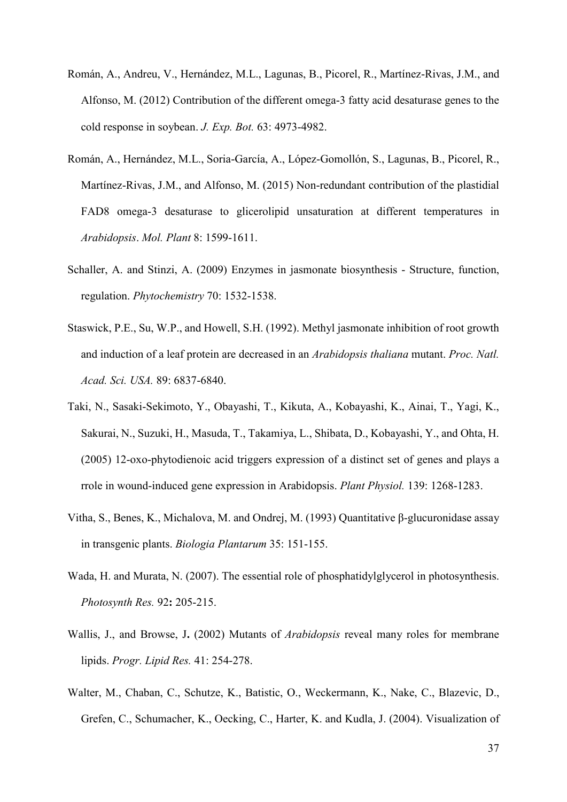- Román, A., Andreu, V., Hernández, M.L., Lagunas, B., Picorel, R., Martínez-Rivas, J.M., and Alfonso, M. (2012) Contribution of the different omega-3 fatty acid desaturase genes to the cold response in soybean. *J. Exp. Bot.* 63: 4973-4982.
- Román, A., Hernández, M.L., Soria-García, A., López-Gomollón, S., Lagunas, B., Picorel, R., Martínez-Rivas, J.M., and Alfonso, M. (2015) Non-redundant contribution of the plastidial FAD8 omega-3 desaturase to glicerolipid unsaturation at different temperatures in *Arabidopsis*. *Mol. Plant* 8: 1599-1611.
- Schaller, A. and Stinzi, A. (2009) Enzymes in jasmonate biosynthesis Structure, function, regulation. *Phytochemistry* 70: 1532-1538.
- Staswick, P.E., Su, W.P., and Howell, S.H. (1992). Methyl jasmonate inhibition of root growth and induction of a leaf protein are decreased in an *Arabidopsis thaliana* mutant. *Proc. Natl. Acad. Sci. USA.* 89: 6837-6840.
- Taki, N., Sasaki-Sekimoto, Y., Obayashi, T., Kikuta, A., Kobayashi, K., Ainai, T., Yagi, K., Sakurai, N., Suzuki, H., Masuda, T., Takamiya, L., Shibata, D., Kobayashi, Y., and Ohta, H. (2005) 12-oxo-phytodienoic acid triggers expression of a distinct set of genes and plays a rrole in wound-induced gene expression in Arabidopsis. *Plant Physiol.* 139: 1268-1283.
- Vitha, S., Benes, K., Michalova, M. and Ondrej, M. (1993) Quantitative β-glucuronidase assay in transgenic plants. *Biologia Plantarum* 35: 151-155.
- Wada, H. and Murata, N. (2007). The essential role of phosphatidylglycerol in photosynthesis. *Photosynth Res.* 92**:** 205-215.
- Wallis, J., and Browse, J**.** (2002) Mutants of *Arabidopsis* reveal many roles for membrane lipids. *Progr. Lipid Res.* 41: 254-278.
- Walter, M., Chaban, C., Schutze, K., Batistic, O., Weckermann, K., Nake, C., Blazevic, D., Grefen, C., Schumacher, K., Oecking, C., Harter, K. and Kudla, J. (2004). Visualization of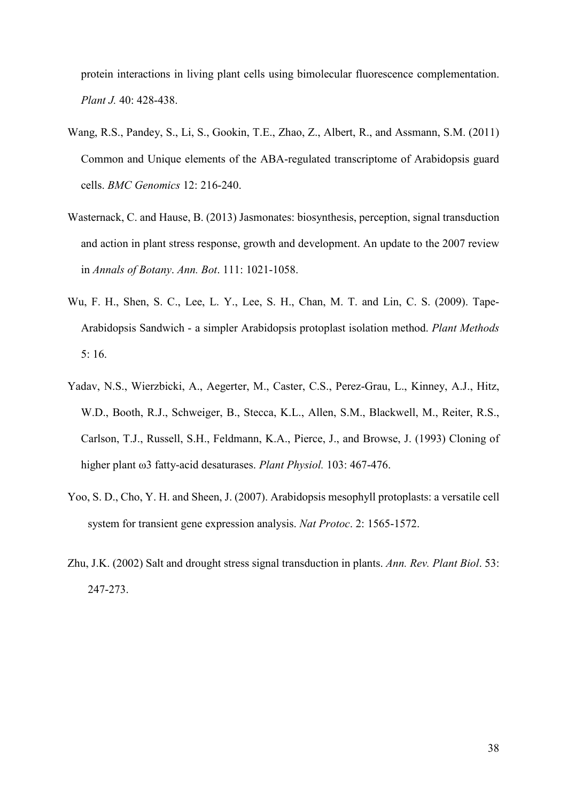protein interactions in living plant cells using bimolecular fluorescence complementation. *Plant J.* 40: 428-438.

- Wang, R.S., Pandey, S., Li, S., Gookin, T.E., Zhao, Z., Albert, R., and Assmann, S.M. (2011) Common and Unique elements of the ABA-regulated transcriptome of Arabidopsis guard cells. *BMC Genomics* 12: 216-240.
- Wasternack, C. and Hause, B. (2013) Jasmonates: biosynthesis, perception, signal transduction and action in plant stress response, growth and development. An update to the 2007 review in *Annals of Botany*. *Ann. Bot*. 111: 1021-1058.
- Wu, F. H., Shen, S. C., Lee, L. Y., Lee, S. H., Chan, M. T. and Lin, C. S. (2009). Tape-Arabidopsis Sandwich - a simpler Arabidopsis protoplast isolation method. *Plant Methods* 5: 16.
- Yadav, N.S., Wierzbicki, A., Aegerter, M., Caster, C.S., Perez-Grau, L., Kinney, A.J., Hitz, W.D., Booth, R.J., Schweiger, B., Stecca, K.L., Allen, S.M., Blackwell, M., Reiter, R.S., Carlson, T.J., Russell, S.H., Feldmann, K.A., Pierce, J., and Browse, J. (1993) Cloning of higher plant ω3 fatty-acid desaturases. *Plant Physiol.* 103: 467-476.
- Yoo, S. D., Cho, Y. H. and Sheen, J. (2007). Arabidopsis mesophyll protoplasts: a versatile cell system for transient gene expression analysis. *Nat Protoc*. 2: 1565-1572.
- Zhu, J.K. (2002) Salt and drought stress signal transduction in plants. *Ann. Rev. Plant Biol*. 53: 247-273.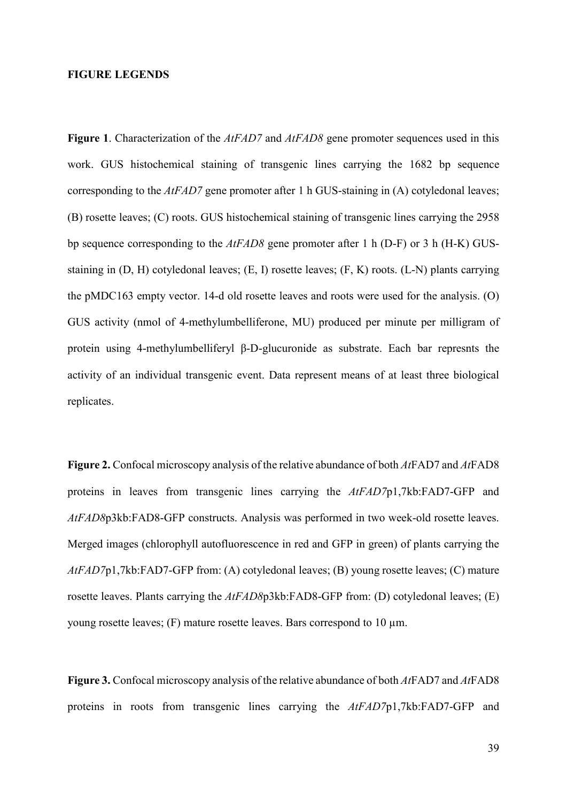## **FIGURE LEGENDS**

**Figure 1**. Characterization of the *AtFAD7* and *AtFAD8* gene promoter sequences used in this work. GUS histochemical staining of transgenic lines carrying the 1682 bp sequence corresponding to the *AtFAD7* gene promoter after 1 h GUS-staining in (A) cotyledonal leaves; (B) rosette leaves; (C) roots. GUS histochemical staining of transgenic lines carrying the 2958 bp sequence corresponding to the *AtFAD8* gene promoter after 1 h (D-F) or 3 h (H-K) GUSstaining in (D, H) cotyledonal leaves; (E, I) rosette leaves; (F, K) roots. (L-N) plants carrying the pMDC163 empty vector. 14-d old rosette leaves and roots were used for the analysis. (O) GUS activity (nmol of 4-methylumbelliferone, MU) produced per minute per milligram of protein using 4-methylumbelliferyl β-D-glucuronide as substrate. Each bar represnts the activity of an individual transgenic event. Data represent means of at least three biological replicates.

**Figure 2.** Confocal microscopy analysis of the relative abundance of both *At*FAD7 and *At*FAD8 proteins in leaves from transgenic lines carrying the *AtFAD7*p1,7kb:FAD7-GFP and *AtFAD8*p3kb:FAD8-GFP constructs. Analysis was performed in two week-old rosette leaves. Merged images (chlorophyll autofluorescence in red and GFP in green) of plants carrying the *AtFAD7*p1,7kb:FAD7-GFP from: (A) cotyledonal leaves; (B) young rosette leaves; (C) mature rosette leaves. Plants carrying the *AtFAD8*p3kb:FAD8-GFP from: (D) cotyledonal leaves; (E) young rosette leaves; (F) mature rosette leaves. Bars correspond to 10 µm.

**Figure 3.** Confocal microscopy analysis of the relative abundance of both *At*FAD7 and *At*FAD8 proteins in roots from transgenic lines carrying the *AtFAD7*p1,7kb:FAD7-GFP and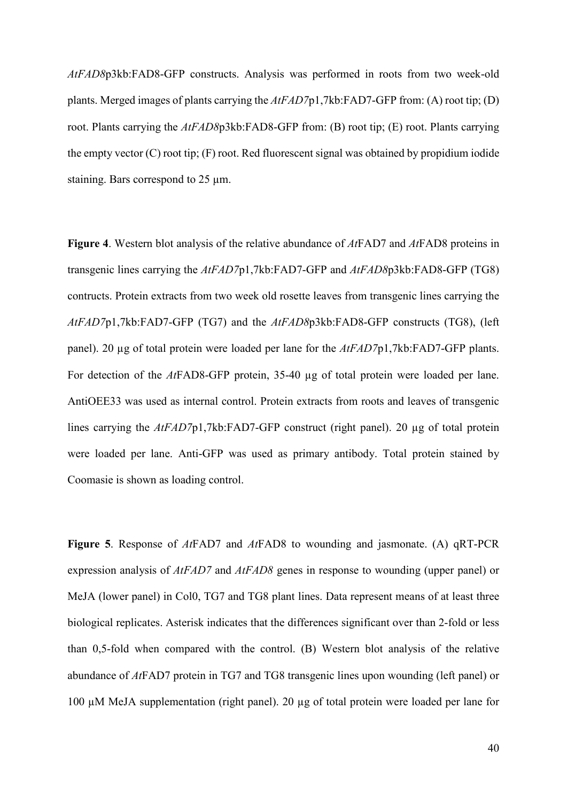*AtFAD8*p3kb:FAD8-GFP constructs. Analysis was performed in roots from two week-old plants. Merged images of plants carrying the *AtFAD7*p1,7kb:FAD7-GFP from: (A) root tip; (D) root. Plants carrying the *AtFAD8*p3kb:FAD8-GFP from: (B) root tip; (E) root. Plants carrying the empty vector (C) root tip; (F) root. Red fluorescent signal was obtained by propidium iodide staining. Bars correspond to 25 µm.

**Figure 4**. Western blot analysis of the relative abundance of *At*FAD7 and *At*FAD8 proteins in transgenic lines carrying the *AtFAD7*p1,7kb:FAD7-GFP and *AtFAD8*p3kb:FAD8-GFP (TG8) contructs. Protein extracts from two week old rosette leaves from transgenic lines carrying the *AtFAD7*p1,7kb:FAD7-GFP (TG7) and the *AtFAD8*p3kb:FAD8-GFP constructs (TG8), (left panel). 20 µg of total protein were loaded per lane for the *AtFAD7*p1,7kb:FAD7-GFP plants. For detection of the *At*FAD8-GFP protein, 35-40 µg of total protein were loaded per lane. AntiOEE33 was used as internal control. Protein extracts from roots and leaves of transgenic lines carrying the *AtFAD7*p1,7kb:FAD7-GFP construct (right panel). 20 µg of total protein were loaded per lane. Anti-GFP was used as primary antibody. Total protein stained by Coomasie is shown as loading control.

**Figure 5**. Response of *At*FAD7 and *At*FAD8 to wounding and jasmonate. (A) qRT-PCR expression analysis of *AtFAD7* and *AtFAD8* genes in response to wounding (upper panel) or MeJA (lower panel) in Col0, TG7 and TG8 plant lines. Data represent means of at least three biological replicates. Asterisk indicates that the differences significant over than 2-fold or less than 0,5-fold when compared with the control. (B) Western blot analysis of the relative abundance of *At*FAD7 protein in TG7 and TG8 transgenic lines upon wounding (left panel) or 100 µM MeJA supplementation (right panel). 20 µg of total protein were loaded per lane for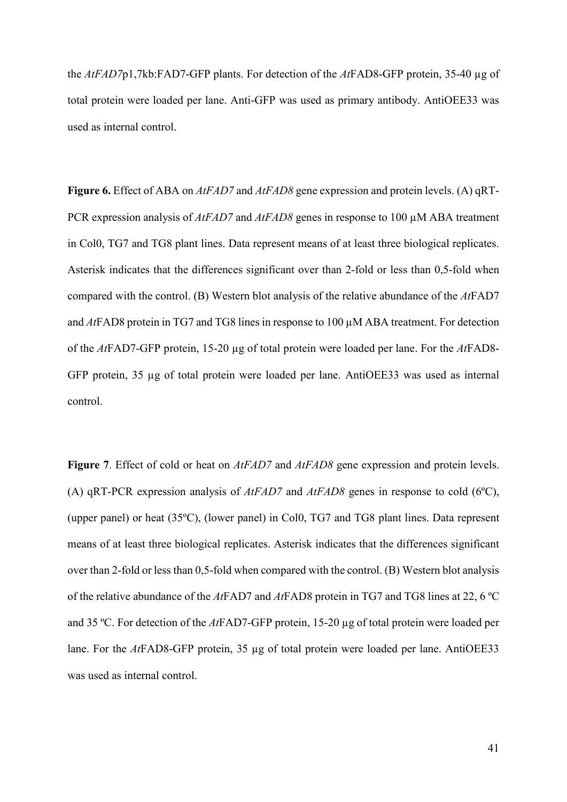the *AtFAD7*p1,7kb:FAD7-GFP plants. For detection of the *At*FAD8-GFP protein, 35-40 µg of total protein were loaded per lane. Anti-GFP was used as primary antibody. AntiOEE33 was used as internal control.

**Figure 6.** Effect of ABA on *AtFAD7* and *AtFAD8* gene expression and protein levels. (A) qRT-PCR expression analysis of *AtFAD7* and *AtFAD8* genes in response to 100 µM ABA treatment in Col0, TG7 and TG8 plant lines. Data represent means of at least three biological replicates. Asterisk indicates that the differences significant over than 2-fold or less than 0,5-fold when compared with the control. (B) Western blot analysis of the relative abundance of the *At*FAD7 and *At*FAD8 protein in TG7 and TG8 lines in response to 100 µM ABA treatment. For detection of the *At*FAD7-GFP protein, 15-20 µg of total protein were loaded per lane. For the *At*FAD8- GFP protein, 35 µg of total protein were loaded per lane. AntiOEE33 was used as internal control.

**Figure 7**. Effect of cold or heat on *AtFAD7* and *AtFAD8* gene expression and protein levels. (A) qRT-PCR expression analysis of *AtFAD7* and *AtFAD8* genes in response to cold (6ºC), (upper panel) or heat (35ºC), (lower panel) in Col0, TG7 and TG8 plant lines. Data represent means of at least three biological replicates. Asterisk indicates that the differences significant over than 2-fold or less than 0,5-fold when compared with the control. (B) Western blot analysis of the relative abundance of the *At*FAD7 and *At*FAD8 protein in TG7 and TG8 lines at 22, 6 ºC and 35 ºC. For detection of the *At*FAD7-GFP protein, 15-20 µg of total protein were loaded per lane. For the *At*FAD8-GFP protein, 35 µg of total protein were loaded per lane. AntiOEE33 was used as internal control.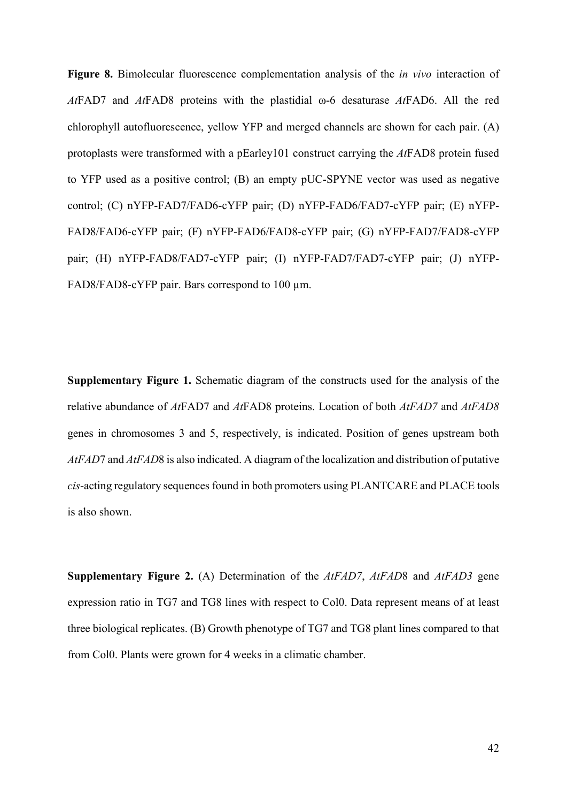**Figure 8.** Bimolecular fluorescence complementation analysis of the *in vivo* interaction of *At*FAD7 and *At*FAD8 proteins with the plastidial ω-6 desaturase *At*FAD6. All the red chlorophyll autofluorescence, yellow YFP and merged channels are shown for each pair. (A) protoplasts were transformed with a pEarley101 construct carrying the *At*FAD8 protein fused to YFP used as a positive control; (B) an empty pUC-SPYNE vector was used as negative control; (C) nYFP-FAD7/FAD6-cYFP pair; (D) nYFP-FAD6/FAD7-cYFP pair; (E) nYFP-FAD8/FAD6-cYFP pair; (F) nYFP-FAD6/FAD8-cYFP pair; (G) nYFP-FAD7/FAD8-cYFP pair; (H) nYFP-FAD8/FAD7-cYFP pair; (I) nYFP-FAD7/FAD7-cYFP pair; (J) nYFP-FAD8/FAD8-cYFP pair. Bars correspond to 100  $\mu$ m.

**Supplementary Figure 1.** Schematic diagram of the constructs used for the analysis of the relative abundance of *At*FAD7 and *At*FAD8 proteins. Location of both *AtFAD7* and *AtFAD8* genes in chromosomes 3 and 5, respectively, is indicated. Position of genes upstream both *AtFAD*7 and *AtFAD*8 is also indicated. A diagram of the localization and distribution of putative *cis*-acting regulatory sequences found in both promoters using PLANTCARE and PLACE tools is also shown.

**Supplementary Figure 2.** (A) Determination of the *AtFAD7*, *AtFAD*8 and *AtFAD3* gene expression ratio in TG7 and TG8 lines with respect to Col0. Data represent means of at least three biological replicates. (B) Growth phenotype of TG7 and TG8 plant lines compared to that from Col0. Plants were grown for 4 weeks in a climatic chamber.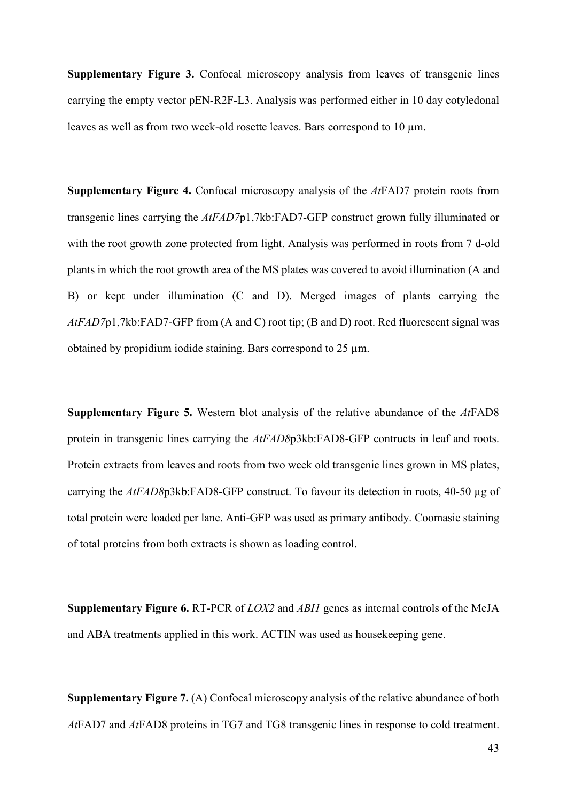**Supplementary Figure 3.** Confocal microscopy analysis from leaves of transgenic lines carrying the empty vector pEN-R2F-L3. Analysis was performed either in 10 day cotyledonal leaves as well as from two week-old rosette leaves. Bars correspond to 10  $\mu$ m.

**Supplementary Figure 4.** Confocal microscopy analysis of the *At*FAD7 protein roots from transgenic lines carrying the *AtFAD7*p1,7kb:FAD7-GFP construct grown fully illuminated or with the root growth zone protected from light. Analysis was performed in roots from 7 d-old plants in which the root growth area of the MS plates was covered to avoid illumination (A and B) or kept under illumination (C and D). Merged images of plants carrying the *AtFAD7*p1,7kb:FAD7-GFP from (A and C) root tip; (B and D) root. Red fluorescent signal was obtained by propidium iodide staining. Bars correspond to 25 µm.

**Supplementary Figure 5.** Western blot analysis of the relative abundance of the *At*FAD8 protein in transgenic lines carrying the *AtFAD8*p3kb:FAD8-GFP contructs in leaf and roots. Protein extracts from leaves and roots from two week old transgenic lines grown in MS plates, carrying the *AtFAD8*p3kb:FAD8-GFP construct. To favour its detection in roots, 40-50 µg of total protein were loaded per lane. Anti-GFP was used as primary antibody. Coomasie staining of total proteins from both extracts is shown as loading control.

**Supplementary Figure 6.** RT-PCR of *LOX2* and *ABI1* genes as internal controls of the MeJA and ABA treatments applied in this work. ACTIN was used as housekeeping gene.

**Supplementary Figure 7.** (A) Confocal microscopy analysis of the relative abundance of both *At*FAD7 and *At*FAD8 proteins in TG7 and TG8 transgenic lines in response to cold treatment.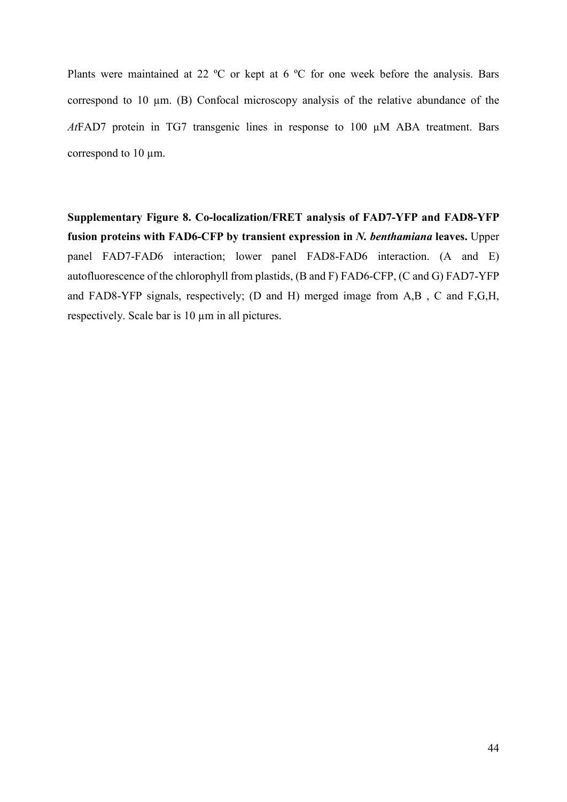Plants were maintained at 22 ºC or kept at 6 ºC for one week before the analysis. Bars correspond to 10 µm. (B) Confocal microscopy analysis of the relative abundance of the *At*FAD7 protein in TG7 transgenic lines in response to 100 µM ABA treatment. Bars correspond to 10 µm.

**Supplementary Figure 8. Co-localization/FRET analysis of FAD7-YFP and FAD8-YFP fusion proteins with FAD6-CFP by transient expression in** *N. benthamiana* **leaves.** Upper panel FAD7-FAD6 interaction; lower panel FAD8-FAD6 interaction. (A and E) autofluorescence of the chlorophyll from plastids, (B and F) FAD6-CFP, (C and G) FAD7-YFP and FAD8-YFP signals, respectively; (D and H) merged image from A,B , C and F,G,H, respectively. Scale bar is 10 µm in all pictures.